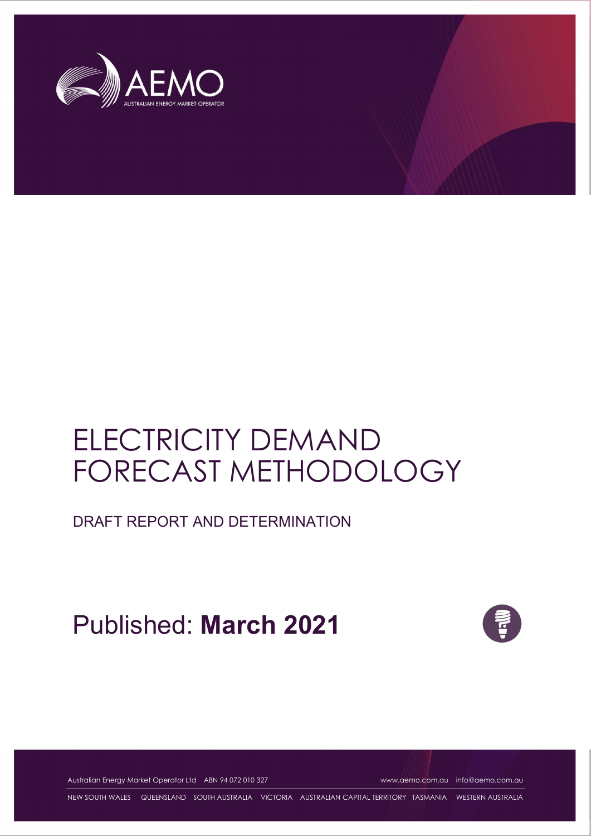

# ELECTRICITY DEMAND FORECAST METHODOLOGY

DRAFT REPORT AND DETERMINATION

Published: **March 2021**



Australian Energy Market Operator Ltd ABN 94 072 010 327 www.aemo.com.au info@aemo.com.au

NEW SOUTH WALES QUEENSLAND SOUTH AUSTRALIA VICTORIA AUSTRALIAN CAPITAL TERRITORY TASMANIA WESTERN AUSTRALIA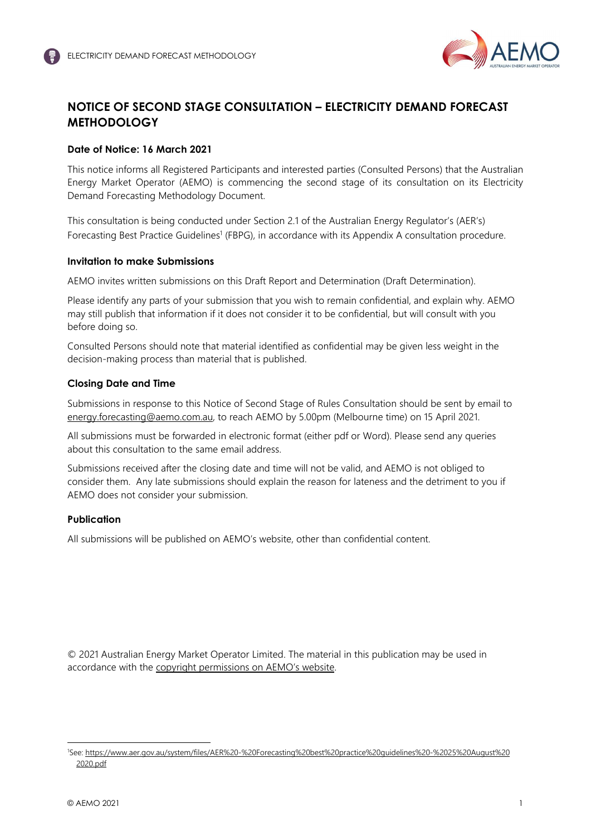

# **NOTICE OF SECOND STAGE CONSULTATION – ELECTRICITY DEMAND FORECAST METHODOLOGY**

## **Date of Notice: 16 March 2021**

This notice informs all Registered Participants and interested parties (Consulted Persons) that the Australian Energy Market Operator (AEMO) is commencing the second stage of its consultation on its Electricity Demand Forecasting Methodology Document.

This consultation is being conducted under Section 2.1 of the Australian Energy Regulator's (AER's) Forecasting Best Practice Guidelines<sup>1</sup> (FBPG), in accordance with its Appendix A consultation procedure.

## **Invitation to make Submissions**

AEMO invites written submissions on this Draft Report and Determination (Draft Determination).

Please identify any parts of your submission that you wish to remain confidential, and explain why. AEMO may still publish that information if it does not consider it to be confidential, but will consult with you before doing so.

Consulted Persons should note that material identified as confidential may be given less weight in the decision-making process than material that is published.

## **Closing Date and Time**

Submissions in response to this Notice of Second Stage of Rules Consultation should be sent by email to energy.forecasting@aemo.com.au, to reach AEMO by 5.00pm (Melbourne time) on 15 April 2021.

All submissions must be forwarded in electronic format (either pdf or Word). Please send any queries about this consultation to the same email address.

Submissions received after the closing date and time will not be valid, and AEMO is not obliged to consider them. Any late submissions should explain the reason for lateness and the detriment to you if AEMO does not consider your submission.

## **Publication**

All submissions will be published on AEMO's website, other than confidential content.

© 2021 Australian Energy Market Operator Limited. The material in this publication may be used in accordance with the copyright permissions on AEMO's website.

<sup>1</sup>See: https://www.aer.gov.au/system/files/AER%20-%20Forecasting%20best%20practice%20guidelines%20-%2025%20August%20 2020.pdf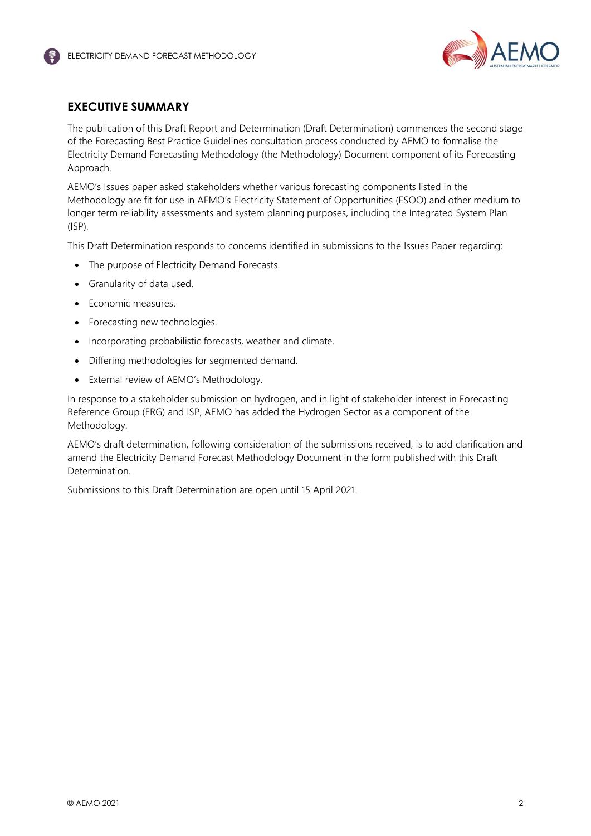

# **EXECUTIVE SUMMARY**

The publication of this Draft Report and Determination (Draft Determination) commences the second stage of the Forecasting Best Practice Guidelines consultation process conducted by AEMO to formalise the Electricity Demand Forecasting Methodology (the Methodology) Document component of its Forecasting Approach.

AEMO's Issues paper asked stakeholders whether various forecasting components listed in the Methodology are fit for use in AEMO's Electricity Statement of Opportunities (ESOO) and other medium to longer term reliability assessments and system planning purposes, including the Integrated System Plan (ISP).

This Draft Determination responds to concerns identified in submissions to the Issues Paper regarding:

- The purpose of Electricity Demand Forecasts.
- Granularity of data used.
- Economic measures.
- Forecasting new technologies.
- Incorporating probabilistic forecasts, weather and climate.
- Differing methodologies for segmented demand.
- External review of AEMO's Methodology.

In response to a stakeholder submission on hydrogen, and in light of stakeholder interest in Forecasting Reference Group (FRG) and ISP, AEMO has added the Hydrogen Sector as a component of the Methodology.

AEMO's draft determination, following consideration of the submissions received, is to add clarification and amend the Electricity Demand Forecast Methodology Document in the form published with this Draft Determination.

Submissions to this Draft Determination are open until 15 April 2021.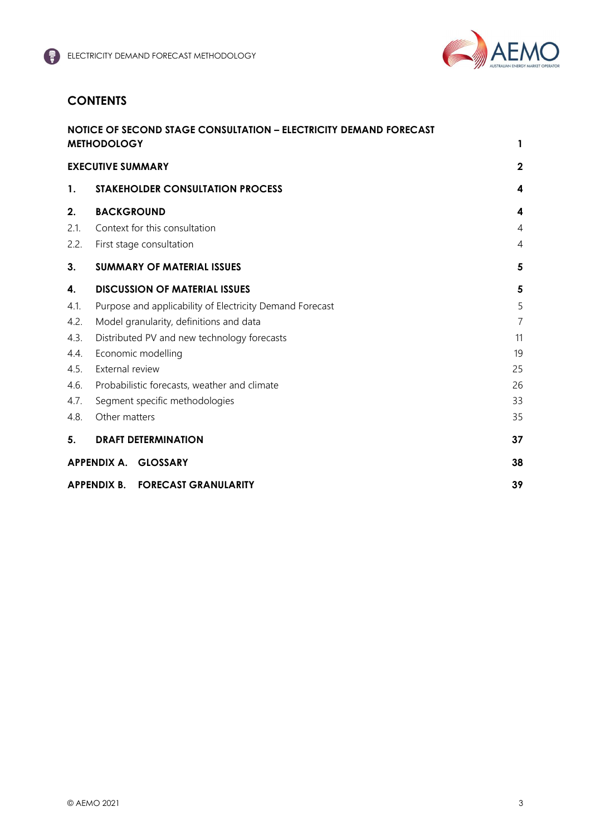

# **CONTENTS**

|      | NOTICE OF SECOND STAGE CONSULTATION - ELECTRICITY DEMAND FORECAST<br><b>METHODOLOGY</b> | 1              |
|------|-----------------------------------------------------------------------------------------|----------------|
|      | <b>EXECUTIVE SUMMARY</b>                                                                | $\overline{2}$ |
| 1.   | <b>STAKEHOLDER CONSULTATION PROCESS</b>                                                 | 4              |
| 2.   | <b>BACKGROUND</b>                                                                       | 4              |
| 2.1. | Context for this consultation                                                           | 4              |
| 2.2. | First stage consultation                                                                | 4              |
| 3.   | <b>SUMMARY OF MATERIAL ISSUES</b>                                                       | 5              |
| 4.   | <b>DISCUSSION OF MATERIAL ISSUES</b>                                                    | 5              |
| 4.1. | Purpose and applicability of Electricity Demand Forecast                                | 5              |
| 4.2. | Model granularity, definitions and data                                                 | $\overline{7}$ |
| 4.3. | Distributed PV and new technology forecasts                                             | 11             |
| 4.4. | Economic modelling                                                                      | 19             |
| 4.5. | External review                                                                         | 25             |
| 4.6. | Probabilistic forecasts, weather and climate                                            | 26             |
| 4.7. | Segment specific methodologies                                                          | 33             |
| 4.8. | Other matters                                                                           | 35             |
| 5.   | <b>DRAFT DETERMINATION</b>                                                              | 37             |
|      | APPENDIX A. GLOSSARY                                                                    | 38             |
|      | APPENDIX B. FORECAST GRANULARITY                                                        | 39             |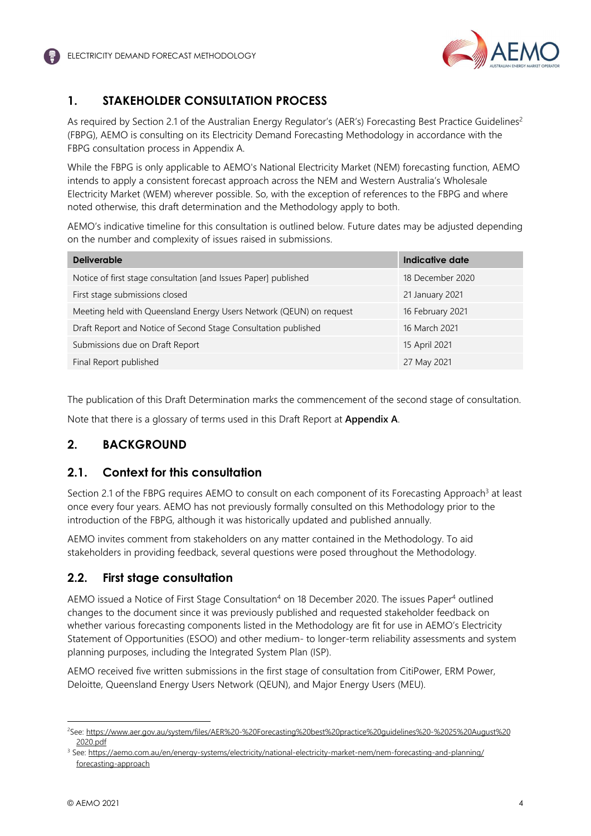

# **1. STAKEHOLDER CONSULTATION PROCESS**

As required by Section 2.1 of the Australian Energy Requlator's (AER's) Forecasting Best Practice Guidelines<sup>2</sup> (FBPG), AEMO is consulting on its Electricity Demand Forecasting Methodology in accordance with the FBPG consultation process in Appendix A.

While the FBPG is only applicable to AEMO's National Electricity Market (NEM) forecasting function, AEMO intends to apply a consistent forecast approach across the NEM and Western Australia's Wholesale Electricity Market (WEM) wherever possible. So, with the exception of references to the FBPG and where noted otherwise, this draft determination and the Methodology apply to both.

AEMO's indicative timeline for this consultation is outlined below. Future dates may be adjusted depending on the number and complexity of issues raised in submissions.

| <b>Deliverable</b>                                                  | Indicative date  |
|---------------------------------------------------------------------|------------------|
| Notice of first stage consultation [and Issues Paper] published     | 18 December 2020 |
| First stage submissions closed                                      | 21 January 2021  |
| Meeting held with Queensland Energy Users Network (QEUN) on request | 16 February 2021 |
| Draft Report and Notice of Second Stage Consultation published      | 16 March 2021    |
| Submissions due on Draft Report                                     | 15 April 2021    |
| Final Report published                                              | 27 May 2021      |

The publication of this Draft Determination marks the commencement of the second stage of consultation.

Note that there is a glossary of terms used in this Draft Report at **Appendix A**.

# **2. BACKGROUND**

# **2.1. Context for this consultation**

Section 2.1 of the FBPG requires AEMO to consult on each component of its Forecasting Approach<sup>3</sup> at least once every four years. AEMO has not previously formally consulted on this Methodology prior to the introduction of the FBPG, although it was historically updated and published annually.

AEMO invites comment from stakeholders on any matter contained in the Methodology. To aid stakeholders in providing feedback, several questions were posed throughout the Methodology.

# **2.2. First stage consultation**

AEMO issued a Notice of First Stage Consultation<sup>4</sup> on 18 December 2020. The issues Paper<sup>4</sup> outlined changes to the document since it was previously published and requested stakeholder feedback on whether various forecasting components listed in the Methodology are fit for use in AEMO's Electricity Statement of Opportunities (ESOO) and other medium- to longer-term reliability assessments and system planning purposes, including the Integrated System Plan (ISP).

AEMO received five written submissions in the first stage of consultation from CitiPower, ERM Power, Deloitte, Queensland Energy Users Network (QEUN), and Major Energy Users (MEU).

<sup>2</sup>See: https://www.aer.gov.au/system/files/AER%20-%20Forecasting%20best%20practice%20guidelines%20-%2025%20August%20 2020.pdf

<sup>&</sup>lt;sup>3</sup> See: <u>https://aemo.com.au/en/energy-systems/electricity/national-electricity-market-nem/nem-forecasting-and-planning/</u> forecasting-approach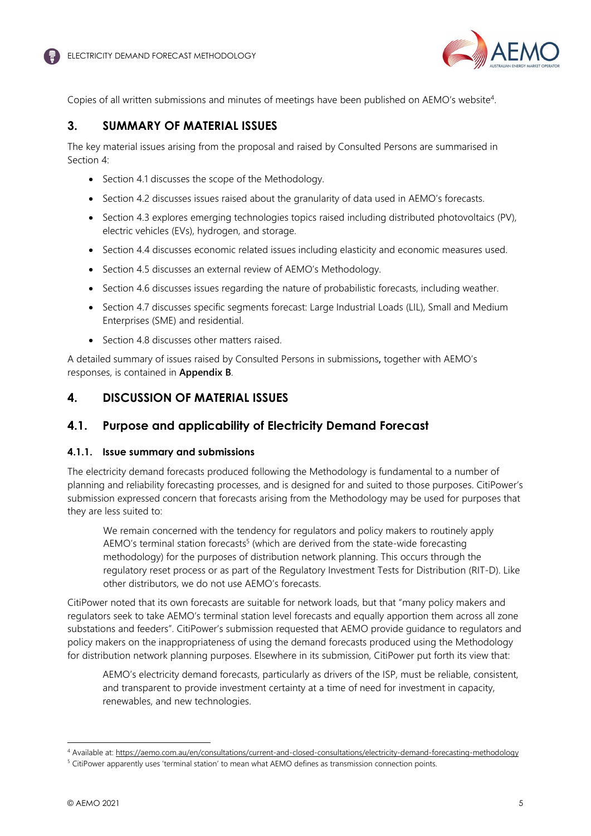

Copies of all written submissions and minutes of meetings have been published on AEMO's website<sup>4</sup>.

# **3. SUMMARY OF MATERIAL ISSUES**

The key material issues arising from the proposal and raised by Consulted Persons are summarised in Section 4:

- Section 4.1 discusses the scope of the Methodology.
- Section 4.2 discusses issues raised about the granularity of data used in AEMO's forecasts.
- Section 4.3 explores emerging technologies topics raised including distributed photovoltaics (PV), electric vehicles (EVs), hydrogen, and storage.
- Section 4.4 discusses economic related issues including elasticity and economic measures used.
- Section 4.5 discusses an external review of AEMO's Methodology.
- Section 4.6 discusses issues regarding the nature of probabilistic forecasts, including weather.
- Section 4.7 discusses specific segments forecast: Large Industrial Loads (LIL), Small and Medium Enterprises (SME) and residential.
- Section 4.8 discusses other matters raised.

A detailed summary of issues raised by Consulted Persons in submissions**,** together with AEMO's responses, is contained in **Appendix B**.

# **4. DISCUSSION OF MATERIAL ISSUES**

# **4.1. Purpose and applicability of Electricity Demand Forecast**

## **4.1.1. Issue summary and submissions**

The electricity demand forecasts produced following the Methodology is fundamental to a number of planning and reliability forecasting processes, and is designed for and suited to those purposes. CitiPower's submission expressed concern that forecasts arising from the Methodology may be used for purposes that they are less suited to:

We remain concerned with the tendency for regulators and policy makers to routinely apply AEMO's terminal station forecasts<sup>5</sup> (which are derived from the state-wide forecasting methodology) for the purposes of distribution network planning. This occurs through the regulatory reset process or as part of the Regulatory Investment Tests for Distribution (RIT-D). Like other distributors, we do not use AEMO's forecasts.

CitiPower noted that its own forecasts are suitable for network loads, but that "many policy makers and regulators seek to take AEMO's terminal station level forecasts and equally apportion them across all zone substations and feeders". CitiPower's submission requested that AEMO provide guidance to regulators and policy makers on the inappropriateness of using the demand forecasts produced using the Methodology for distribution network planning purposes. Elsewhere in its submission, CitiPower put forth its view that:

AEMO's electricity demand forecasts, particularly as drivers of the ISP, must be reliable, consistent, and transparent to provide investment certainty at a time of need for investment in capacity, renewables, and new technologies.

<sup>4</sup> Available at: https://aemo.com.au/en/consultations/current-and-closed-consultations/electricity-demand-forecasting-methodology

<sup>&</sup>lt;sup>5</sup> CitiPower apparently uses 'terminal station' to mean what AEMO defines as transmission connection points.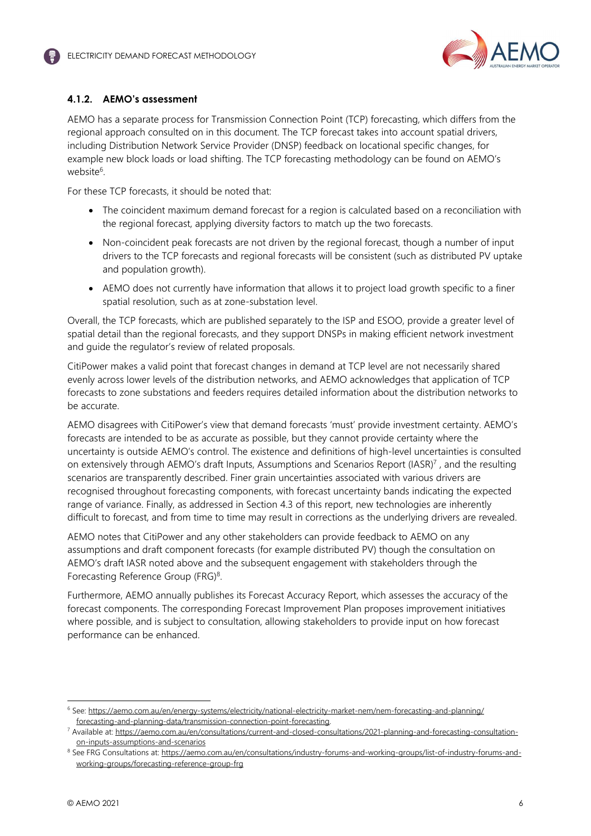

## **4.1.2. AEMO's assessment**

AEMO has a separate process for Transmission Connection Point (TCP) forecasting, which differs from the regional approach consulted on in this document. The TCP forecast takes into account spatial drivers, including Distribution Network Service Provider (DNSP) feedback on locational specific changes, for example new block loads or load shifting. The TCP forecasting methodology can be found on AEMO's website<sup>6</sup>.

For these TCP forecasts, it should be noted that:

- The coincident maximum demand forecast for a region is calculated based on a reconciliation with the regional forecast, applying diversity factors to match up the two forecasts.
- Non-coincident peak forecasts are not driven by the regional forecast, though a number of input drivers to the TCP forecasts and regional forecasts will be consistent (such as distributed PV uptake and population growth).
- AEMO does not currently have information that allows it to project load growth specific to a finer spatial resolution, such as at zone-substation level.

Overall, the TCP forecasts, which are published separately to the ISP and ESOO, provide a greater level of spatial detail than the regional forecasts, and they support DNSPs in making efficient network investment and guide the regulator's review of related proposals.

CitiPower makes a valid point that forecast changes in demand at TCP level are not necessarily shared evenly across lower levels of the distribution networks, and AEMO acknowledges that application of TCP forecasts to zone substations and feeders requires detailed information about the distribution networks to be accurate.

AEMO disagrees with CitiPower's view that demand forecasts 'must' provide investment certainty. AEMO's forecasts are intended to be as accurate as possible, but they cannot provide certainty where the uncertainty is outside AEMO's control. The existence and definitions of high-level uncertainties is consulted on extensively through AEMO's draft Inputs, Assumptions and Scenarios Report (IASR)<sup>7</sup>, and the resulting scenarios are transparently described. Finer grain uncertainties associated with various drivers are recognised throughout forecasting components, with forecast uncertainty bands indicating the expected range of variance. Finally, as addressed in Section 4.3 of this report, new technologies are inherently difficult to forecast, and from time to time may result in corrections as the underlying drivers are revealed.

AEMO notes that CitiPower and any other stakeholders can provide feedback to AEMO on any assumptions and draft component forecasts (for example distributed PV) though the consultation on AEMO's draft IASR noted above and the subsequent engagement with stakeholders through the Forecasting Reference Group (FRG)<sup>8</sup>.

Furthermore, AEMO annually publishes its Forecast Accuracy Report, which assesses the accuracy of the forecast components. The corresponding Forecast Improvement Plan proposes improvement initiatives where possible, and is subject to consultation, allowing stakeholders to provide input on how forecast performance can be enhanced.

<sup>&</sup>lt;sup>6</sup> See: https://aemo.com.au/en/energy-systems/electricity/national-electricity-market-nem/nem-forecasting-and-planning/ forecasting-and-planning-data/transmission-connection-point-forecasting.

<sup>&</sup>lt;sup>7</sup> Available at: https://aemo.com.au/en/consultations/current-and-closed-consultations/2021-planning-and-forecasting-consultationon-inputs-assumptions-and-scenarios

<sup>&</sup>lt;sup>8</sup> See FRG Consultations at: <u>https://aemo.com.au/en/consultations/industry-forums-and-working-groups/list-of-industry-forums-and-</u> working-groups/forecasting-reference-group-frg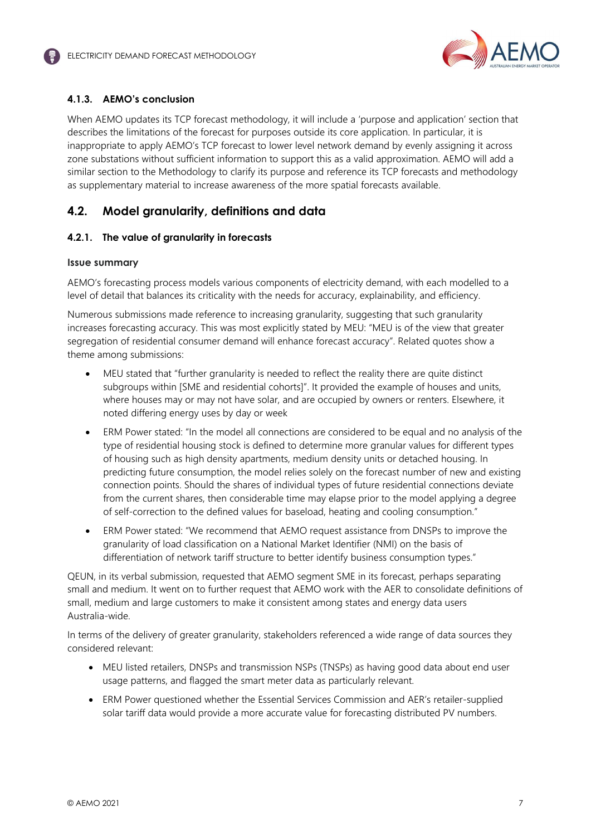

## **4.1.3. AEMO's conclusion**

When AEMO updates its TCP forecast methodology, it will include a 'purpose and application' section that describes the limitations of the forecast for purposes outside its core application. In particular, it is inappropriate to apply AEMO's TCP forecast to lower level network demand by evenly assigning it across zone substations without sufficient information to support this as a valid approximation. AEMO will add a similar section to the Methodology to clarify its purpose and reference its TCP forecasts and methodology as supplementary material to increase awareness of the more spatial forecasts available.

## **4.2. Model granularity, definitions and data**

## **4.2.1. The value of granularity in forecasts**

#### **Issue summary**

AEMO's forecasting process models various components of electricity demand, with each modelled to a level of detail that balances its criticality with the needs for accuracy, explainability, and efficiency.

Numerous submissions made reference to increasing granularity, suggesting that such granularity increases forecasting accuracy. This was most explicitly stated by MEU: "MEU is of the view that greater segregation of residential consumer demand will enhance forecast accuracy". Related quotes show a theme among submissions:

- MEU stated that "further granularity is needed to reflect the reality there are quite distinct subgroups within [SME and residential cohorts]". It provided the example of houses and units, where houses may or may not have solar, and are occupied by owners or renters. Elsewhere, it noted differing energy uses by day or week
- ERM Power stated: "In the model all connections are considered to be equal and no analysis of the type of residential housing stock is defined to determine more granular values for different types of housing such as high density apartments, medium density units or detached housing. In predicting future consumption, the model relies solely on the forecast number of new and existing connection points. Should the shares of individual types of future residential connections deviate from the current shares, then considerable time may elapse prior to the model applying a degree of self-correction to the defined values for baseload, heating and cooling consumption."
- ERM Power stated: "We recommend that AEMO request assistance from DNSPs to improve the granularity of load classification on a National Market Identifier (NMI) on the basis of differentiation of network tariff structure to better identify business consumption types."

QEUN, in its verbal submission, requested that AEMO segment SME in its forecast, perhaps separating small and medium. It went on to further request that AEMO work with the AER to consolidate definitions of small, medium and large customers to make it consistent among states and energy data users Australia-wide.

In terms of the delivery of greater granularity, stakeholders referenced a wide range of data sources they considered relevant:

- MEU listed retailers, DNSPs and transmission NSPs (TNSPs) as having good data about end user usage patterns, and flagged the smart meter data as particularly relevant.
- ERM Power questioned whether the Essential Services Commission and AER's retailer-supplied solar tariff data would provide a more accurate value for forecasting distributed PV numbers.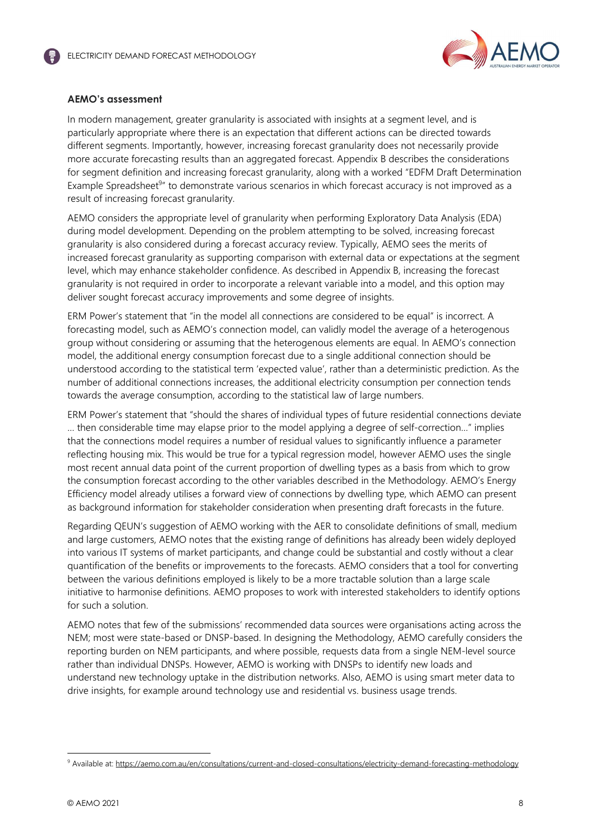

## **AEMO's assessment**

In modern management, greater granularity is associated with insights at a segment level, and is particularly appropriate where there is an expectation that different actions can be directed towards different segments. Importantly, however, increasing forecast granularity does not necessarily provide more accurate forecasting results than an aggregated forecast. Appendix B describes the considerations for segment definition and increasing forecast granularity, along with a worked "EDFM Draft Determination Example Spreadsheet<sup>9</sup>" to demonstrate various scenarios in which forecast accuracy is not improved as a result of increasing forecast granularity.

AEMO considers the appropriate level of granularity when performing Exploratory Data Analysis (EDA) during model development. Depending on the problem attempting to be solved, increasing forecast granularity is also considered during a forecast accuracy review. Typically, AEMO sees the merits of increased forecast granularity as supporting comparison with external data or expectations at the segment level, which may enhance stakeholder confidence. As described in Appendix B, increasing the forecast granularity is not required in order to incorporate a relevant variable into a model, and this option may deliver sought forecast accuracy improvements and some degree of insights.

ERM Power's statement that "in the model all connections are considered to be equal" is incorrect. A forecasting model, such as AEMO's connection model, can validly model the average of a heterogenous group without considering or assuming that the heterogenous elements are equal. In AEMO's connection model, the additional energy consumption forecast due to a single additional connection should be understood according to the statistical term 'expected value', rather than a deterministic prediction. As the number of additional connections increases, the additional electricity consumption per connection tends towards the average consumption, according to the statistical law of large numbers.

ERM Power's statement that "should the shares of individual types of future residential connections deviate … then considerable time may elapse prior to the model applying a degree of self-correction…" implies that the connections model requires a number of residual values to significantly influence a parameter reflecting housing mix. This would be true for a typical regression model, however AEMO uses the single most recent annual data point of the current proportion of dwelling types as a basis from which to grow the consumption forecast according to the other variables described in the Methodology. AEMO's Energy Efficiency model already utilises a forward view of connections by dwelling type, which AEMO can present as background information for stakeholder consideration when presenting draft forecasts in the future.

Regarding QEUN's suggestion of AEMO working with the AER to consolidate definitions of small, medium and large customers, AEMO notes that the existing range of definitions has already been widely deployed into various IT systems of market participants, and change could be substantial and costly without a clear quantification of the benefits or improvements to the forecasts. AEMO considers that a tool for converting between the various definitions employed is likely to be a more tractable solution than a large scale initiative to harmonise definitions. AEMO proposes to work with interested stakeholders to identify options for such a solution.

AEMO notes that few of the submissions' recommended data sources were organisations acting across the NEM; most were state-based or DNSP-based. In designing the Methodology, AEMO carefully considers the reporting burden on NEM participants, and where possible, requests data from a single NEM-level source rather than individual DNSPs. However, AEMO is working with DNSPs to identify new loads and understand new technology uptake in the distribution networks. Also, AEMO is using smart meter data to drive insights, for example around technology use and residential vs. business usage trends.

<sup>&</sup>lt;sup>9</sup> Available at: https://aemo.com.au/en/consultations/current-and-closed-consultations/electricity-demand-forecasting-methodology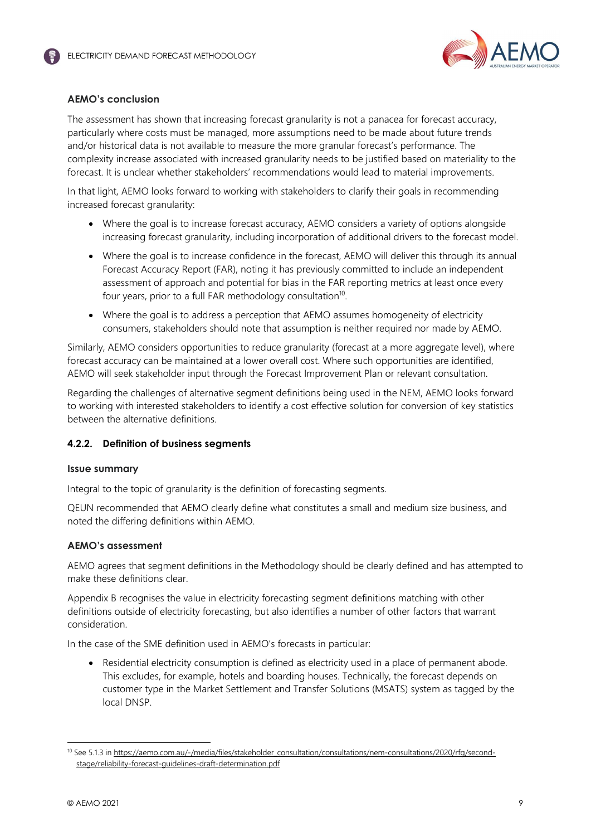

## **AEMO's conclusion**

The assessment has shown that increasing forecast granularity is not a panacea for forecast accuracy, particularly where costs must be managed, more assumptions need to be made about future trends and/or historical data is not available to measure the more granular forecast's performance. The complexity increase associated with increased granularity needs to be justified based on materiality to the forecast. It is unclear whether stakeholders' recommendations would lead to material improvements.

In that light, AEMO looks forward to working with stakeholders to clarify their goals in recommending increased forecast granularity:

- Where the goal is to increase forecast accuracy, AEMO considers a variety of options alongside increasing forecast granularity, including incorporation of additional drivers to the forecast model.
- Where the goal is to increase confidence in the forecast, AEMO will deliver this through its annual Forecast Accuracy Report (FAR), noting it has previously committed to include an independent assessment of approach and potential for bias in the FAR reporting metrics at least once every four years, prior to a full FAR methodology consultation<sup>10</sup>.
- Where the goal is to address a perception that AEMO assumes homogeneity of electricity consumers, stakeholders should note that assumption is neither required nor made by AEMO.

Similarly, AEMO considers opportunities to reduce granularity (forecast at a more aggregate level), where forecast accuracy can be maintained at a lower overall cost. Where such opportunities are identified, AEMO will seek stakeholder input through the Forecast Improvement Plan or relevant consultation.

Regarding the challenges of alternative segment definitions being used in the NEM, AEMO looks forward to working with interested stakeholders to identify a cost effective solution for conversion of key statistics between the alternative definitions.

## **4.2.2. Definition of business segments**

#### **Issue summary**

Integral to the topic of granularity is the definition of forecasting segments.

QEUN recommended that AEMO clearly define what constitutes a small and medium size business, and noted the differing definitions within AEMO.

## **AEMO's assessment**

AEMO agrees that segment definitions in the Methodology should be clearly defined and has attempted to make these definitions clear.

Appendix B recognises the value in electricity forecasting segment definitions matching with other definitions outside of electricity forecasting, but also identifies a number of other factors that warrant consideration.

In the case of the SME definition used in AEMO's forecasts in particular:

• Residential electricity consumption is defined as electricity used in a place of permanent abode. This excludes, for example, hotels and boarding houses. Technically, the forecast depends on customer type in the Market Settlement and Transfer Solutions (MSATS) system as tagged by the local DNSP.

<sup>&</sup>lt;sup>10</sup> See 5.1.3 in https://aemo.com.au/-/media/files/stakeholder\_consultation/consultations/nem-consultations/2020/rfg/secondstage/reliability-forecast-guidelines-draft-determination.pdf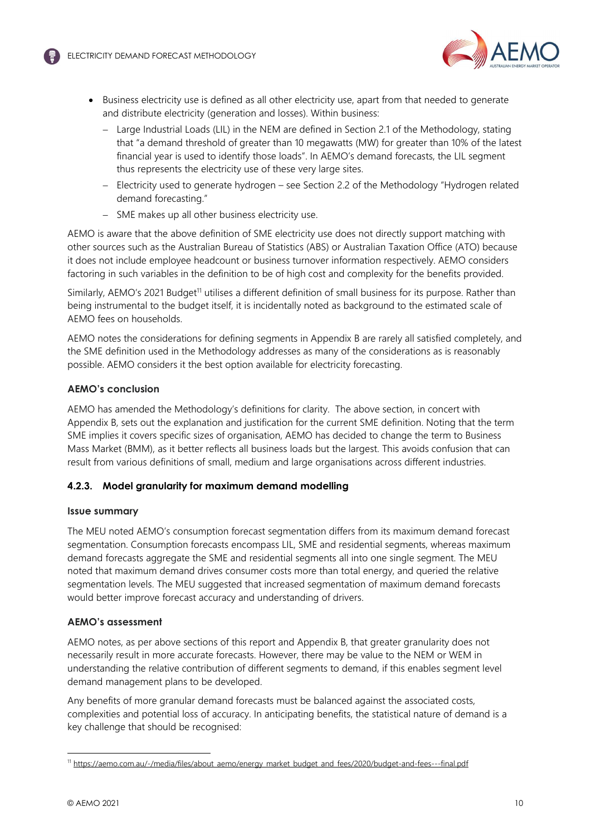

- Business electricity use is defined as all other electricity use, apart from that needed to generate and distribute electricity (generation and losses). Within business:
	- Large Industrial Loads (LIL) in the NEM are defined in Section 2.1 of the Methodology, stating that "a demand threshold of greater than 10 megawatts (MW) for greater than 10% of the latest financial year is used to identify those loads". In AEMO's demand forecasts, the LIL segment thus represents the electricity use of these very large sites.
	- Electricity used to generate hydrogen see Section 2.2 of the Methodology "Hydrogen related demand forecasting."
	- SME makes up all other business electricity use.

AEMO is aware that the above definition of SME electricity use does not directly support matching with other sources such as the Australian Bureau of Statistics (ABS) or Australian Taxation Office (ATO) because it does not include employee headcount or business turnover information respectively. AEMO considers factoring in such variables in the definition to be of high cost and complexity for the benefits provided.

Similarly, AEMO's 2021 Budget<sup>11</sup> utilises a different definition of small business for its purpose. Rather than being instrumental to the budget itself, it is incidentally noted as background to the estimated scale of AEMO fees on households.

AEMO notes the considerations for defining segments in Appendix B are rarely all satisfied completely, and the SME definition used in the Methodology addresses as many of the considerations as is reasonably possible. AEMO considers it the best option available for electricity forecasting.

## **AEMO's conclusion**

AEMO has amended the Methodology's definitions for clarity. The above section, in concert with Appendix B, sets out the explanation and justification for the current SME definition. Noting that the term SME implies it covers specific sizes of organisation, AEMO has decided to change the term to Business Mass Market (BMM), as it better reflects all business loads but the largest. This avoids confusion that can result from various definitions of small, medium and large organisations across different industries.

## **4.2.3. Model granularity for maximum demand modelling**

## **Issue summary**

The MEU noted AEMO's consumption forecast segmentation differs from its maximum demand forecast segmentation. Consumption forecasts encompass LIL, SME and residential segments, whereas maximum demand forecasts aggregate the SME and residential segments all into one single segment. The MEU noted that maximum demand drives consumer costs more than total energy, and queried the relative segmentation levels. The MEU suggested that increased segmentation of maximum demand forecasts would better improve forecast accuracy and understanding of drivers.

## **AEMO's assessment**

AEMO notes, as per above sections of this report and Appendix B, that greater granularity does not necessarily result in more accurate forecasts. However, there may be value to the NEM or WEM in understanding the relative contribution of different segments to demand, if this enables segment level demand management plans to be developed.

Any benefits of more granular demand forecasts must be balanced against the associated costs, complexities and potential loss of accuracy. In anticipating benefits, the statistical nature of demand is a key challenge that should be recognised:

<sup>&</sup>lt;sup>11</sup> https://aemo.com.au/-/media/files/about\_aemo/energy\_market\_budget\_and\_fees/2020/budget-and-fees---final.pdf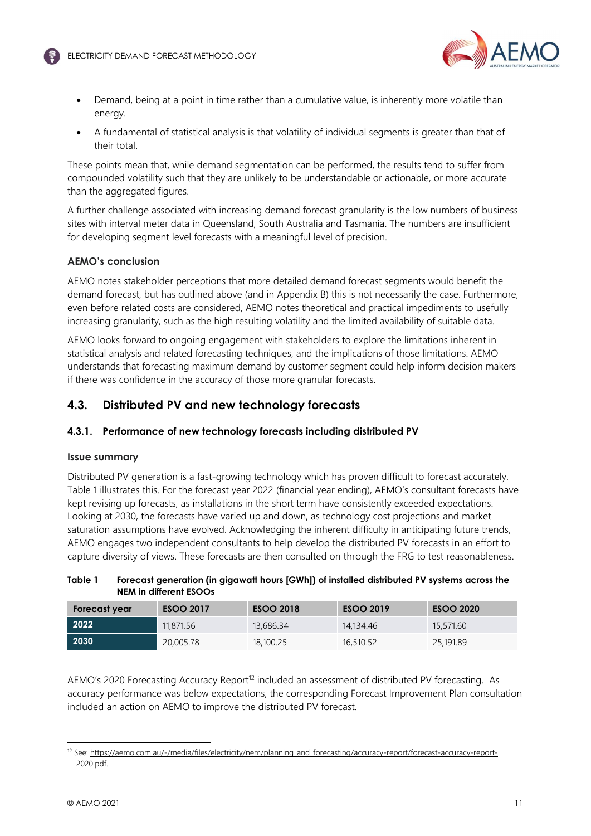

- Demand, being at a point in time rather than a cumulative value, is inherently more volatile than energy.
- A fundamental of statistical analysis is that volatility of individual segments is greater than that of their total.

These points mean that, while demand segmentation can be performed, the results tend to suffer from compounded volatility such that they are unlikely to be understandable or actionable, or more accurate than the aggregated figures.

A further challenge associated with increasing demand forecast granularity is the low numbers of business sites with interval meter data in Queensland, South Australia and Tasmania. The numbers are insufficient for developing segment level forecasts with a meaningful level of precision.

## **AEMO's conclusion**

AEMO notes stakeholder perceptions that more detailed demand forecast segments would benefit the demand forecast, but has outlined above (and in Appendix B) this is not necessarily the case. Furthermore, even before related costs are considered, AEMO notes theoretical and practical impediments to usefully increasing granularity, such as the high resulting volatility and the limited availability of suitable data.

AEMO looks forward to ongoing engagement with stakeholders to explore the limitations inherent in statistical analysis and related forecasting techniques, and the implications of those limitations. AEMO understands that forecasting maximum demand by customer segment could help inform decision makers if there was confidence in the accuracy of those more granular forecasts.

# **4.3. Distributed PV and new technology forecasts**

## **4.3.1. Performance of new technology forecasts including distributed PV**

## **Issue summary**

Distributed PV generation is a fast-growing technology which has proven difficult to forecast accurately. Table 1 illustrates this. For the forecast year 2022 (financial year ending), AEMO's consultant forecasts have kept revising up forecasts, as installations in the short term have consistently exceeded expectations. Looking at 2030, the forecasts have varied up and down, as technology cost projections and market saturation assumptions have evolved. Acknowledging the inherent difficulty in anticipating future trends, AEMO engages two independent consultants to help develop the distributed PV forecasts in an effort to capture diversity of views. These forecasts are then consulted on through the FRG to test reasonableness.

## **Table 1 Forecast generation (in gigawatt hours [GWh]) of installed distributed PV systems across the NEM in different ESOOs**

| Forecast year | <b>ESOO 2017</b> | <b>ESOO 2018</b> | <b>ESOO 2019</b> | <b>ESOO 2020</b> |
|---------------|------------------|------------------|------------------|------------------|
| 2022          | 11,871.56        | 13,686.34        | 14,134,46        | 15,571.60        |
| 2030          | 20,005.78        | 18,100.25        | 16,510.52        | 25,191.89        |

AEMO's 2020 Forecasting Accuracy Report<sup>12</sup> included an assessment of distributed PV forecasting. As accuracy performance was below expectations, the corresponding Forecast Improvement Plan consultation included an action on AEMO to improve the distributed PV forecast.

<sup>&</sup>lt;sup>12</sup> See: https://aemo.com.au/-/media/files/electricity/nem/planning\_and\_forecasting/accuracy-report/forecast-accuracy-report-2020.pdf.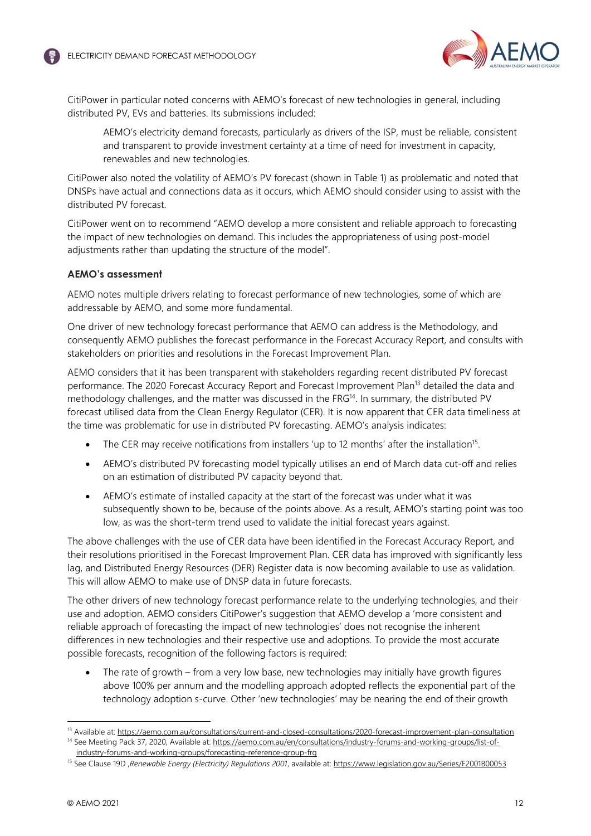

CitiPower in particular noted concerns with AEMO's forecast of new technologies in general, including distributed PV, EVs and batteries. Its submissions included:

AEMO's electricity demand forecasts, particularly as drivers of the ISP, must be reliable, consistent and transparent to provide investment certainty at a time of need for investment in capacity, renewables and new technologies.

CitiPower also noted the volatility of AEMO's PV forecast (shown in Table 1) as problematic and noted that DNSPs have actual and connections data as it occurs, which AEMO should consider using to assist with the distributed PV forecast.

CitiPower went on to recommend "AEMO develop a more consistent and reliable approach to forecasting the impact of new technologies on demand. This includes the appropriateness of using post-model adjustments rather than updating the structure of the model".

#### **AEMO's assessment**

AEMO notes multiple drivers relating to forecast performance of new technologies, some of which are addressable by AEMO, and some more fundamental.

One driver of new technology forecast performance that AEMO can address is the Methodology, and consequently AEMO publishes the forecast performance in the Forecast Accuracy Report, and consults with stakeholders on priorities and resolutions in the Forecast Improvement Plan.

AEMO considers that it has been transparent with stakeholders regarding recent distributed PV forecast performance. The 2020 Forecast Accuracy Report and Forecast Improvement Plan<sup>13</sup> detailed the data and methodology challenges, and the matter was discussed in the FRG<sup>14</sup>. In summary, the distributed PV forecast utilised data from the Clean Energy Regulator (CER). It is now apparent that CER data timeliness at the time was problematic for use in distributed PV forecasting. AEMO's analysis indicates:

- $\bullet$  The CER may receive notifications from installers 'up to 12 months' after the installation<sup>15</sup>.
- AEMO's distributed PV forecasting model typically utilises an end of March data cut-off and relies on an estimation of distributed PV capacity beyond that.
- AEMO's estimate of installed capacity at the start of the forecast was under what it was subsequently shown to be, because of the points above. As a result, AEMO's starting point was too low, as was the short-term trend used to validate the initial forecast years against.

The above challenges with the use of CER data have been identified in the Forecast Accuracy Report, and their resolutions prioritised in the Forecast Improvement Plan. CER data has improved with significantly less lag, and Distributed Energy Resources (DER) Register data is now becoming available to use as validation. This will allow AEMO to make use of DNSP data in future forecasts.

The other drivers of new technology forecast performance relate to the underlying technologies, and their use and adoption. AEMO considers CitiPower's suggestion that AEMO develop a 'more consistent and reliable approach of forecasting the impact of new technologies' does not recognise the inherent differences in new technologies and their respective use and adoptions. To provide the most accurate possible forecasts, recognition of the following factors is required:

 The rate of growth – from a very low base, new technologies may initially have growth figures above 100% per annum and the modelling approach adopted reflects the exponential part of the technology adoption s-curve. Other 'new technologies' may be nearing the end of their growth

<sup>13</sup> Available at: https://aemo.com.au/consultations/current-and-closed-consultations/2020-forecast-improvement-plan-consultation <sup>14</sup> See Meeting Pack 37, 2020, Available at: https://aemo.com.au/en/consultations/industry-forums-and-working-groups/list-of-

industry-forums-and-working-groups/forecasting-reference-group-frg

<sup>15</sup> See Clause 19D ,*Renewable Energy (Electricity) Regulations 2001*, available at: https://www.legislation.gov.au/Series/F2001B00053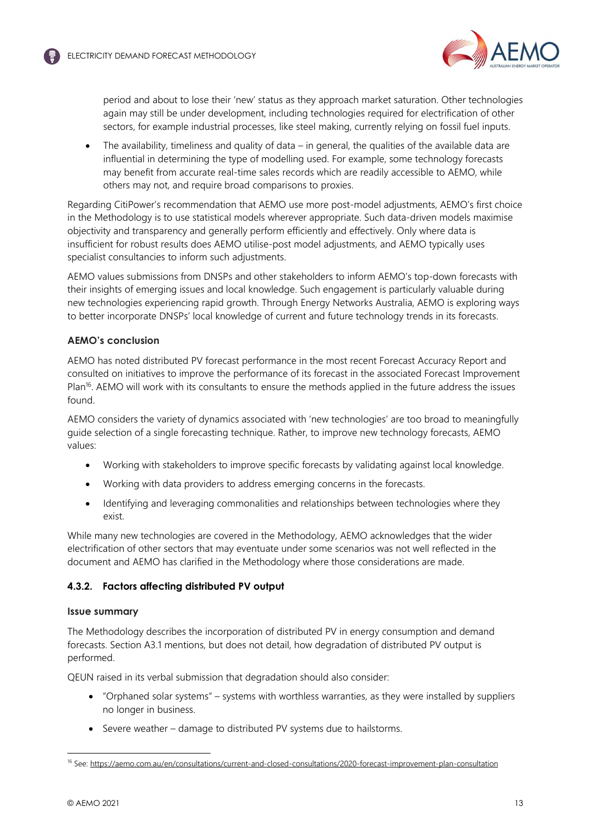

period and about to lose their 'new' status as they approach market saturation. Other technologies again may still be under development, including technologies required for electrification of other sectors, for example industrial processes, like steel making, currently relying on fossil fuel inputs.

 The availability, timeliness and quality of data – in general, the qualities of the available data are influential in determining the type of modelling used. For example, some technology forecasts may benefit from accurate real-time sales records which are readily accessible to AEMO, while others may not, and require broad comparisons to proxies.

Regarding CitiPower's recommendation that AEMO use more post-model adjustments, AEMO's first choice in the Methodology is to use statistical models wherever appropriate. Such data-driven models maximise objectivity and transparency and generally perform efficiently and effectively. Only where data is insufficient for robust results does AEMO utilise-post model adjustments, and AEMO typically uses specialist consultancies to inform such adjustments.

AEMO values submissions from DNSPs and other stakeholders to inform AEMO's top-down forecasts with their insights of emerging issues and local knowledge. Such engagement is particularly valuable during new technologies experiencing rapid growth. Through Energy Networks Australia, AEMO is exploring ways to better incorporate DNSPs' local knowledge of current and future technology trends in its forecasts.

## **AEMO's conclusion**

AEMO has noted distributed PV forecast performance in the most recent Forecast Accuracy Report and consulted on initiatives to improve the performance of its forecast in the associated Forecast Improvement Plan<sup>16</sup>. AEMO will work with its consultants to ensure the methods applied in the future address the issues found.

AEMO considers the variety of dynamics associated with 'new technologies' are too broad to meaningfully guide selection of a single forecasting technique. Rather, to improve new technology forecasts, AEMO values:

- Working with stakeholders to improve specific forecasts by validating against local knowledge.
- Working with data providers to address emerging concerns in the forecasts.
- Identifying and leveraging commonalities and relationships between technologies where they exist.

While many new technologies are covered in the Methodology, AEMO acknowledges that the wider electrification of other sectors that may eventuate under some scenarios was not well reflected in the document and AEMO has clarified in the Methodology where those considerations are made.

## **4.3.2. Factors affecting distributed PV output**

## **Issue summary**

The Methodology describes the incorporation of distributed PV in energy consumption and demand forecasts. Section A3.1 mentions, but does not detail, how degradation of distributed PV output is performed.

QEUN raised in its verbal submission that degradation should also consider:

- "Orphaned solar systems" systems with worthless warranties, as they were installed by suppliers no longer in business.
- Severe weather damage to distributed PV systems due to hailstorms.

<sup>&</sup>lt;sup>16</sup> See: https://aemo.com.au/en/consultations/current-and-closed-consultations/2020-forecast-improvement-plan-consultation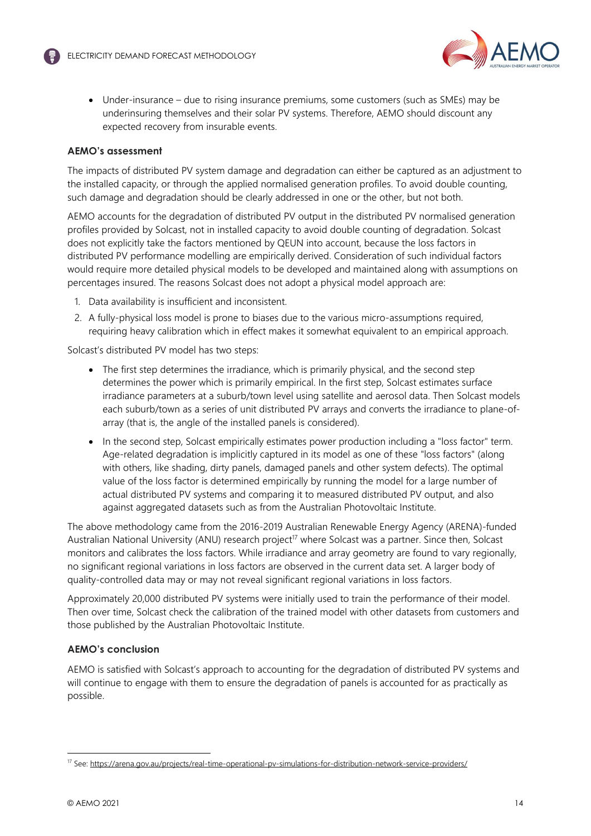

• Under-insurance – due to rising insurance premiums, some customers (such as SMEs) may be underinsuring themselves and their solar PV systems. Therefore, AEMO should discount any expected recovery from insurable events.

#### **AEMO's assessment**

The impacts of distributed PV system damage and degradation can either be captured as an adjustment to the installed capacity, or through the applied normalised generation profiles. To avoid double counting, such damage and degradation should be clearly addressed in one or the other, but not both.

AEMO accounts for the degradation of distributed PV output in the distributed PV normalised generation profiles provided by Solcast, not in installed capacity to avoid double counting of degradation. Solcast does not explicitly take the factors mentioned by QEUN into account, because the loss factors in distributed PV performance modelling are empirically derived. Consideration of such individual factors would require more detailed physical models to be developed and maintained along with assumptions on percentages insured. The reasons Solcast does not adopt a physical model approach are:

- 1. Data availability is insufficient and inconsistent.
- 2. A fully-physical loss model is prone to biases due to the various micro-assumptions required, requiring heavy calibration which in effect makes it somewhat equivalent to an empirical approach.

Solcast's distributed PV model has two steps:

- The first step determines the irradiance, which is primarily physical, and the second step determines the power which is primarily empirical. In the first step, Solcast estimates surface irradiance parameters at a suburb/town level using satellite and aerosol data. Then Solcast models each suburb/town as a series of unit distributed PV arrays and converts the irradiance to plane-ofarray (that is, the angle of the installed panels is considered).
- In the second step, Solcast empirically estimates power production including a "loss factor" term. Age-related degradation is implicitly captured in its model as one of these "loss factors" (along with others, like shading, dirty panels, damaged panels and other system defects). The optimal value of the loss factor is determined empirically by running the model for a large number of actual distributed PV systems and comparing it to measured distributed PV output, and also against aggregated datasets such as from the Australian Photovoltaic Institute.

The above methodology came from the 2016-2019 Australian Renewable Energy Agency (ARENA)-funded Australian National University (ANU) research project<sup>17</sup> where Solcast was a partner. Since then, Solcast monitors and calibrates the loss factors. While irradiance and array geometry are found to vary regionally, no significant regional variations in loss factors are observed in the current data set. A larger body of quality-controlled data may or may not reveal significant regional variations in loss factors.

Approximately 20,000 distributed PV systems were initially used to train the performance of their model. Then over time, Solcast check the calibration of the trained model with other datasets from customers and those published by the Australian Photovoltaic Institute.

## **AEMO's conclusion**

AEMO is satisfied with Solcast's approach to accounting for the degradation of distributed PV systems and will continue to engage with them to ensure the degradation of panels is accounted for as practically as possible.

<sup>17</sup> See: https://arena.gov.au/projects/real-time-operational-pv-simulations-for-distribution-network-service-providers/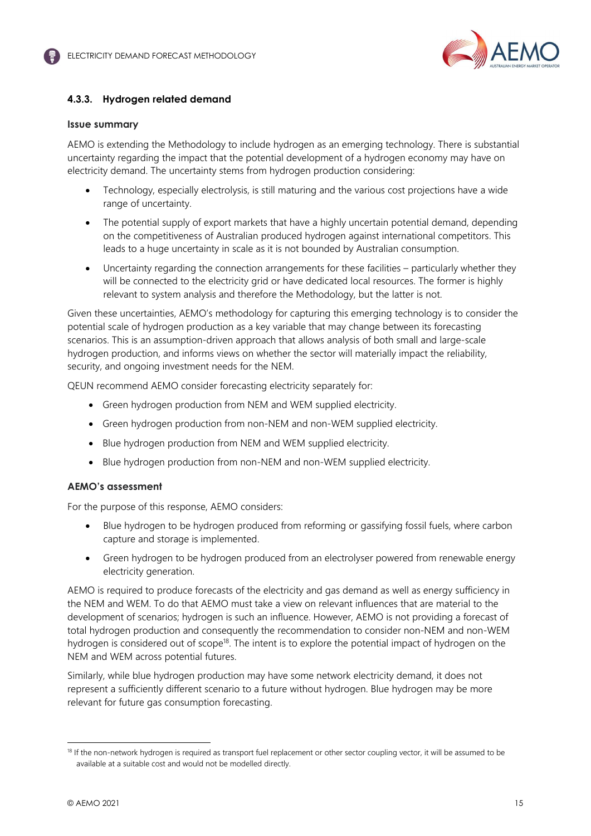

## **4.3.3. Hydrogen related demand**

#### **Issue summary**

AEMO is extending the Methodology to include hydrogen as an emerging technology. There is substantial uncertainty regarding the impact that the potential development of a hydrogen economy may have on electricity demand. The uncertainty stems from hydrogen production considering:

- Technology, especially electrolysis, is still maturing and the various cost projections have a wide range of uncertainty.
- The potential supply of export markets that have a highly uncertain potential demand, depending on the competitiveness of Australian produced hydrogen against international competitors. This leads to a huge uncertainty in scale as it is not bounded by Australian consumption.
- Uncertainty regarding the connection arrangements for these facilities particularly whether they will be connected to the electricity grid or have dedicated local resources. The former is highly relevant to system analysis and therefore the Methodology, but the latter is not.

Given these uncertainties, AEMO's methodology for capturing this emerging technology is to consider the potential scale of hydrogen production as a key variable that may change between its forecasting scenarios. This is an assumption-driven approach that allows analysis of both small and large-scale hydrogen production, and informs views on whether the sector will materially impact the reliability, security, and ongoing investment needs for the NEM.

QEUN recommend AEMO consider forecasting electricity separately for:

- Green hydrogen production from NEM and WEM supplied electricity.
- Green hydrogen production from non-NEM and non-WEM supplied electricity.
- Blue hydrogen production from NEM and WEM supplied electricity.
- Blue hydrogen production from non-NEM and non-WEM supplied electricity.

## **AEMO's assessment**

For the purpose of this response, AEMO considers:

- Blue hydrogen to be hydrogen produced from reforming or gassifying fossil fuels, where carbon capture and storage is implemented.
- Green hydrogen to be hydrogen produced from an electrolyser powered from renewable energy electricity generation.

AEMO is required to produce forecasts of the electricity and gas demand as well as energy sufficiency in the NEM and WEM. To do that AEMO must take a view on relevant influences that are material to the development of scenarios; hydrogen is such an influence. However, AEMO is not providing a forecast of total hydrogen production and consequently the recommendation to consider non-NEM and non-WEM hydrogen is considered out of scope<sup>18</sup>. The intent is to explore the potential impact of hydrogen on the NEM and WEM across potential futures.

Similarly, while blue hydrogen production may have some network electricity demand, it does not represent a sufficiently different scenario to a future without hydrogen. Blue hydrogen may be more relevant for future gas consumption forecasting.

<sup>&</sup>lt;sup>18</sup> If the non-network hydrogen is required as transport fuel replacement or other sector coupling vector, it will be assumed to be available at a suitable cost and would not be modelled directly.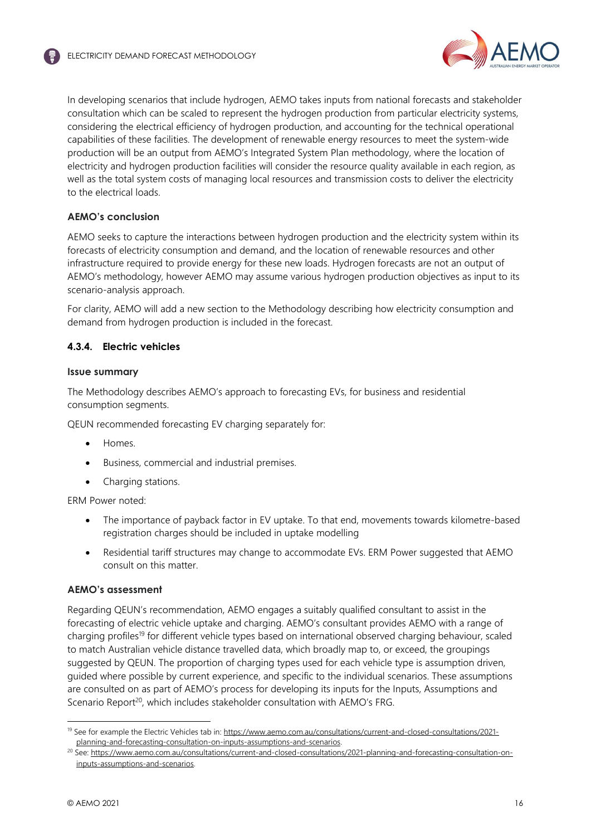

In developing scenarios that include hydrogen, AEMO takes inputs from national forecasts and stakeholder consultation which can be scaled to represent the hydrogen production from particular electricity systems, considering the electrical efficiency of hydrogen production, and accounting for the technical operational capabilities of these facilities. The development of renewable energy resources to meet the system-wide production will be an output from AEMO's Integrated System Plan methodology, where the location of electricity and hydrogen production facilities will consider the resource quality available in each region, as well as the total system costs of managing local resources and transmission costs to deliver the electricity to the electrical loads.

## **AEMO's conclusion**

AEMO seeks to capture the interactions between hydrogen production and the electricity system within its forecasts of electricity consumption and demand, and the location of renewable resources and other infrastructure required to provide energy for these new loads. Hydrogen forecasts are not an output of AEMO's methodology, however AEMO may assume various hydrogen production objectives as input to its scenario-analysis approach.

For clarity, AEMO will add a new section to the Methodology describing how electricity consumption and demand from hydrogen production is included in the forecast.

## **4.3.4. Electric vehicles**

## **Issue summary**

The Methodology describes AEMO's approach to forecasting EVs, for business and residential consumption segments.

QEUN recommended forecasting EV charging separately for:

- Homes.
- Business, commercial and industrial premises.
- Charging stations.

ERM Power noted:

- The importance of payback factor in EV uptake. To that end, movements towards kilometre-based registration charges should be included in uptake modelling
- Residential tariff structures may change to accommodate EVs. ERM Power suggested that AEMO consult on this matter.

## **AEMO's assessment**

Regarding QEUN's recommendation, AEMO engages a suitably qualified consultant to assist in the forecasting of electric vehicle uptake and charging. AEMO's consultant provides AEMO with a range of charging profiles<sup>19</sup> for different vehicle types based on international observed charging behaviour, scaled to match Australian vehicle distance travelled data, which broadly map to, or exceed, the groupings suggested by QEUN. The proportion of charging types used for each vehicle type is assumption driven, guided where possible by current experience, and specific to the individual scenarios. These assumptions are consulted on as part of AEMO's process for developing its inputs for the Inputs, Assumptions and Scenario Report<sup>20</sup>, which includes stakeholder consultation with AEMO's FRG.

<sup>&</sup>lt;sup>19</sup> See for example the Electric Vehicles tab in: https://www.aemo.com.au/consultations/current-and-closed-consultations/2021planning-and-forecasting-consultation-on-inputs-assumptions-and-scenarios.

<sup>&</sup>lt;sup>20</sup> See: https://www.aemo.com.au/consultations/current-and-closed-consultations/2021-planning-and-forecasting-consultation-oninputs-assumptions-and-scenarios.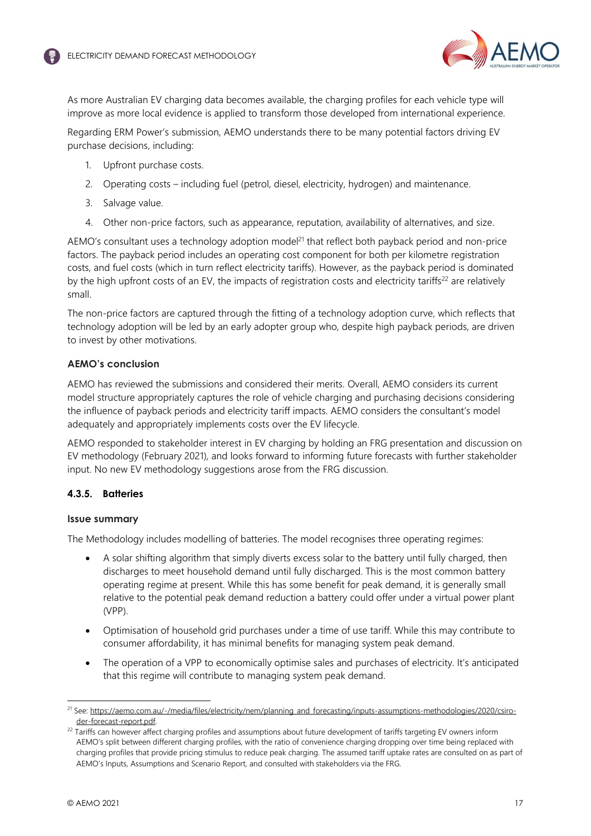

As more Australian EV charging data becomes available, the charging profiles for each vehicle type will improve as more local evidence is applied to transform those developed from international experience.

Regarding ERM Power's submission, AEMO understands there to be many potential factors driving EV purchase decisions, including:

- 1. Upfront purchase costs.
- 2. Operating costs including fuel (petrol, diesel, electricity, hydrogen) and maintenance.
- 3. Salvage value.
- 4. Other non-price factors, such as appearance, reputation, availability of alternatives, and size.

AEMO's consultant uses a technology adoption model<sup>21</sup> that reflect both payback period and non-price factors. The payback period includes an operating cost component for both per kilometre registration costs, and fuel costs (which in turn reflect electricity tariffs). However, as the payback period is dominated by the high upfront costs of an EV, the impacts of registration costs and electricity tariffs<sup>22</sup> are relatively small.

The non-price factors are captured through the fitting of a technology adoption curve, which reflects that technology adoption will be led by an early adopter group who, despite high payback periods, are driven to invest by other motivations.

## **AEMO's conclusion**

AEMO has reviewed the submissions and considered their merits. Overall, AEMO considers its current model structure appropriately captures the role of vehicle charging and purchasing decisions considering the influence of payback periods and electricity tariff impacts. AEMO considers the consultant's model adequately and appropriately implements costs over the EV lifecycle.

AEMO responded to stakeholder interest in EV charging by holding an FRG presentation and discussion on EV methodology (February 2021), and looks forward to informing future forecasts with further stakeholder input. No new EV methodology suggestions arose from the FRG discussion.

## **4.3.5. Batteries**

## **Issue summary**

The Methodology includes modelling of batteries. The model recognises three operating regimes:

- A solar shifting algorithm that simply diverts excess solar to the battery until fully charged, then discharges to meet household demand until fully discharged. This is the most common battery operating regime at present. While this has some benefit for peak demand, it is generally small relative to the potential peak demand reduction a battery could offer under a virtual power plant (VPP).
- Optimisation of household grid purchases under a time of use tariff. While this may contribute to consumer affordability, it has minimal benefits for managing system peak demand.
- The operation of a VPP to economically optimise sales and purchases of electricity. It's anticipated that this regime will contribute to managing system peak demand.

<sup>&</sup>lt;sup>21</sup> See: https://aemo.com.au/-/media/files/electricity/nem/planning\_and\_forecasting/inputs-assumptions-methodologies/2020/csiroder-forecast-report.pdf.

<sup>&</sup>lt;sup>22</sup> Tariffs can however affect charging profiles and assumptions about future development of tariffs targeting EV owners inform AEMO's split between different charging profiles, with the ratio of convenience charging dropping over time being replaced with charging profiles that provide pricing stimulus to reduce peak charging. The assumed tariff uptake rates are consulted on as part of AEMO's Inputs, Assumptions and Scenario Report, and consulted with stakeholders via the FRG.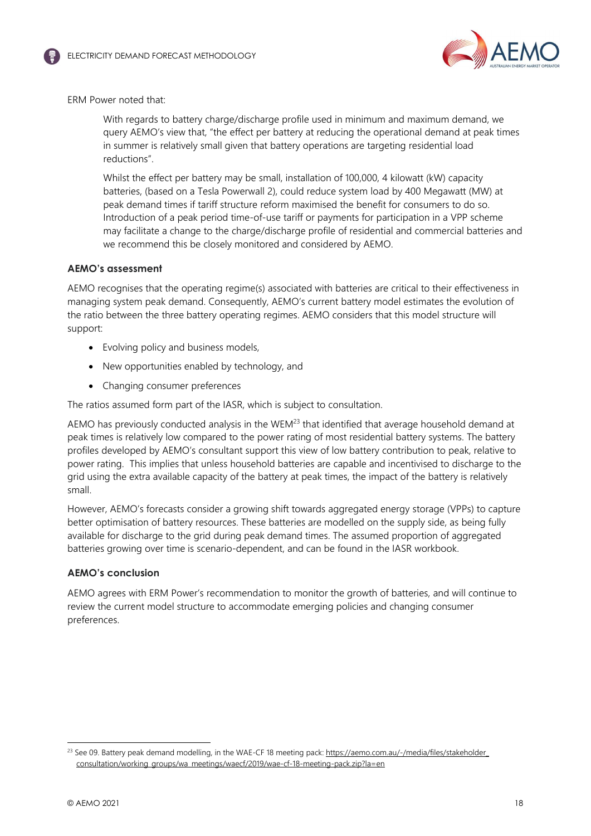



ERM Power noted that:

With regards to battery charge/discharge profile used in minimum and maximum demand, we query AEMO's view that, "the effect per battery at reducing the operational demand at peak times in summer is relatively small given that battery operations are targeting residential load reductions".

Whilst the effect per battery may be small, installation of 100,000, 4 kilowatt (kW) capacity batteries, (based on a Tesla Powerwall 2), could reduce system load by 400 Megawatt (MW) at peak demand times if tariff structure reform maximised the benefit for consumers to do so. Introduction of a peak period time-of-use tariff or payments for participation in a VPP scheme may facilitate a change to the charge/discharge profile of residential and commercial batteries and we recommend this be closely monitored and considered by AEMO.

## **AEMO's assessment**

AEMO recognises that the operating regime(s) associated with batteries are critical to their effectiveness in managing system peak demand. Consequently, AEMO's current battery model estimates the evolution of the ratio between the three battery operating regimes. AEMO considers that this model structure will support:

- Evolving policy and business models,
- New opportunities enabled by technology, and
- Changing consumer preferences

The ratios assumed form part of the IASR, which is subject to consultation.

AEMO has previously conducted analysis in the WEM<sup>23</sup> that identified that average household demand at peak times is relatively low compared to the power rating of most residential battery systems. The battery profiles developed by AEMO's consultant support this view of low battery contribution to peak, relative to power rating. This implies that unless household batteries are capable and incentivised to discharge to the grid using the extra available capacity of the battery at peak times, the impact of the battery is relatively small.

However, AEMO's forecasts consider a growing shift towards aggregated energy storage (VPPs) to capture better optimisation of battery resources. These batteries are modelled on the supply side, as being fully available for discharge to the grid during peak demand times. The assumed proportion of aggregated batteries growing over time is scenario-dependent, and can be found in the IASR workbook.

## **AEMO's conclusion**

AEMO agrees with ERM Power's recommendation to monitor the growth of batteries, and will continue to review the current model structure to accommodate emerging policies and changing consumer preferences.

<sup>&</sup>lt;sup>23</sup> See 09. Battery peak demand modelling, in the WAE-CF 18 meeting pack: https://aemo.com.au/-/media/files/stakeholder\_ consultation/working\_groups/wa\_meetings/waecf/2019/wae-cf-18-meeting-pack.zip?la=en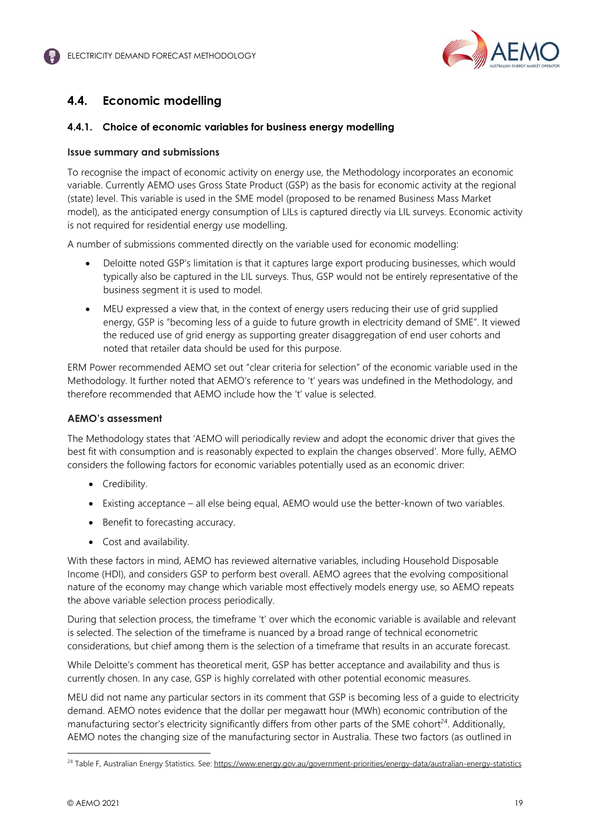

# **4.4. Economic modelling**

## **4.4.1. Choice of economic variables for business energy modelling**

#### **Issue summary and submissions**

To recognise the impact of economic activity on energy use, the Methodology incorporates an economic variable. Currently AEMO uses Gross State Product (GSP) as the basis for economic activity at the regional (state) level. This variable is used in the SME model (proposed to be renamed Business Mass Market model), as the anticipated energy consumption of LILs is captured directly via LIL surveys. Economic activity is not required for residential energy use modelling.

A number of submissions commented directly on the variable used for economic modelling:

- Deloitte noted GSP's limitation is that it captures large export producing businesses, which would typically also be captured in the LIL surveys. Thus, GSP would not be entirely representative of the business segment it is used to model.
- MEU expressed a view that, in the context of energy users reducing their use of grid supplied energy, GSP is "becoming less of a guide to future growth in electricity demand of SME". It viewed the reduced use of grid energy as supporting greater disaggregation of end user cohorts and noted that retailer data should be used for this purpose.

ERM Power recommended AEMO set out "clear criteria for selection" of the economic variable used in the Methodology. It further noted that AEMO's reference to 't' years was undefined in the Methodology, and therefore recommended that AEMO include how the 't' value is selected.

## **AEMO's assessment**

The Methodology states that 'AEMO will periodically review and adopt the economic driver that gives the best fit with consumption and is reasonably expected to explain the changes observed'. More fully, AEMO considers the following factors for economic variables potentially used as an economic driver:

- Credibility.
- Existing acceptance all else being equal, AEMO would use the better-known of two variables.
- Benefit to forecasting accuracy.
- Cost and availability.

With these factors in mind, AEMO has reviewed alternative variables, including Household Disposable Income (HDI), and considers GSP to perform best overall. AEMO agrees that the evolving compositional nature of the economy may change which variable most effectively models energy use, so AEMO repeats the above variable selection process periodically.

During that selection process, the timeframe 't' over which the economic variable is available and relevant is selected. The selection of the timeframe is nuanced by a broad range of technical econometric considerations, but chief among them is the selection of a timeframe that results in an accurate forecast.

While Deloitte's comment has theoretical merit, GSP has better acceptance and availability and thus is currently chosen. In any case, GSP is highly correlated with other potential economic measures.

MEU did not name any particular sectors in its comment that GSP is becoming less of a guide to electricity demand. AEMO notes evidence that the dollar per megawatt hour (MWh) economic contribution of the manufacturing sector's electricity significantly differs from other parts of the SME cohort<sup>24</sup>. Additionally, AEMO notes the changing size of the manufacturing sector in Australia. These two factors (as outlined in

<sup>&</sup>lt;sup>24</sup> Table F, Australian Energy Statistics. See: https://www.energy.gov.au/government-priorities/energy-data/australian-energy-statistics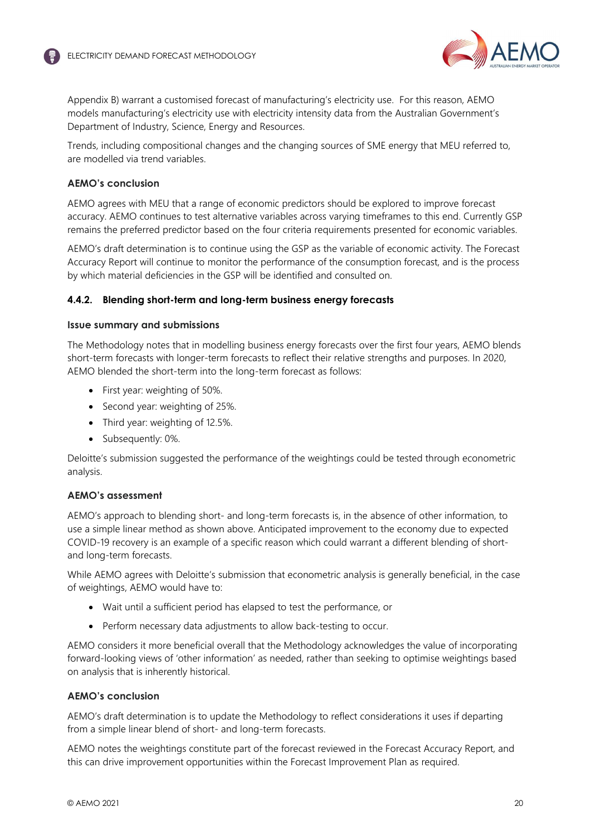

Appendix B) warrant a customised forecast of manufacturing's electricity use. For this reason, AEMO models manufacturing's electricity use with electricity intensity data from the Australian Government's Department of Industry, Science, Energy and Resources.

Trends, including compositional changes and the changing sources of SME energy that MEU referred to, are modelled via trend variables.

## **AEMO's conclusion**

AEMO agrees with MEU that a range of economic predictors should be explored to improve forecast accuracy. AEMO continues to test alternative variables across varying timeframes to this end. Currently GSP remains the preferred predictor based on the four criteria requirements presented for economic variables.

AEMO's draft determination is to continue using the GSP as the variable of economic activity. The Forecast Accuracy Report will continue to monitor the performance of the consumption forecast, and is the process by which material deficiencies in the GSP will be identified and consulted on.

## **4.4.2. Blending short-term and long-term business energy forecasts**

#### **Issue summary and submissions**

The Methodology notes that in modelling business energy forecasts over the first four years, AEMO blends short-term forecasts with longer-term forecasts to reflect their relative strengths and purposes. In 2020, AEMO blended the short-term into the long-term forecast as follows:

- First year: weighting of 50%.
- Second year: weighting of 25%.
- Third year: weighting of 12.5%.
- Subsequently: 0%.

Deloitte's submission suggested the performance of the weightings could be tested through econometric analysis.

## **AEMO's assessment**

AEMO's approach to blending short- and long-term forecasts is, in the absence of other information, to use a simple linear method as shown above. Anticipated improvement to the economy due to expected COVID-19 recovery is an example of a specific reason which could warrant a different blending of shortand long-term forecasts.

While AEMO agrees with Deloitte's submission that econometric analysis is generally beneficial, in the case of weightings, AEMO would have to:

- Wait until a sufficient period has elapsed to test the performance, or
- Perform necessary data adjustments to allow back-testing to occur.

AEMO considers it more beneficial overall that the Methodology acknowledges the value of incorporating forward-looking views of 'other information' as needed, rather than seeking to optimise weightings based on analysis that is inherently historical.

## **AEMO's conclusion**

AEMO's draft determination is to update the Methodology to reflect considerations it uses if departing from a simple linear blend of short- and long-term forecasts.

AEMO notes the weightings constitute part of the forecast reviewed in the Forecast Accuracy Report, and this can drive improvement opportunities within the Forecast Improvement Plan as required.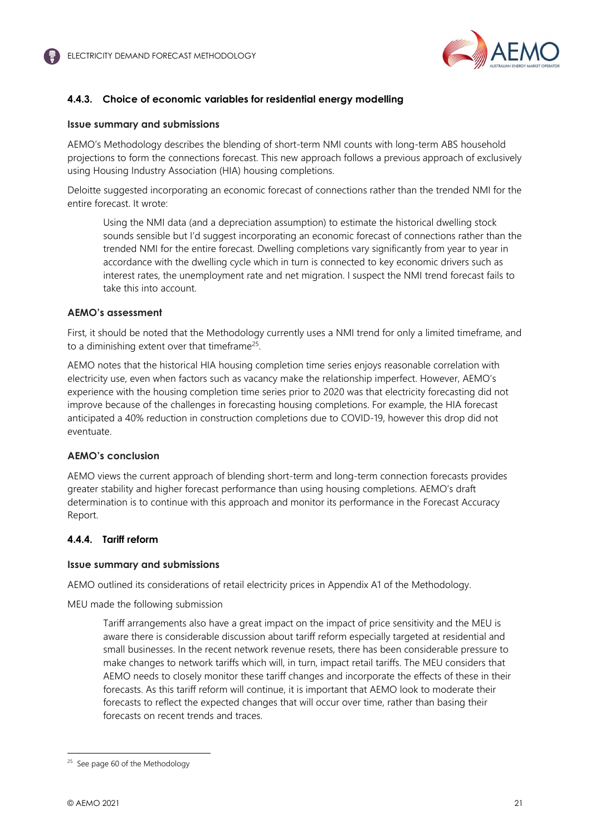

## **4.4.3. Choice of economic variables for residential energy modelling**

#### **Issue summary and submissions**

AEMO's Methodology describes the blending of short-term NMI counts with long-term ABS household projections to form the connections forecast. This new approach follows a previous approach of exclusively using Housing Industry Association (HIA) housing completions.

Deloitte suggested incorporating an economic forecast of connections rather than the trended NMI for the entire forecast. It wrote:

Using the NMI data (and a depreciation assumption) to estimate the historical dwelling stock sounds sensible but I'd suggest incorporating an economic forecast of connections rather than the trended NMI for the entire forecast. Dwelling completions vary significantly from year to year in accordance with the dwelling cycle which in turn is connected to key economic drivers such as interest rates, the unemployment rate and net migration. I suspect the NMI trend forecast fails to take this into account.

## **AEMO's assessment**

First, it should be noted that the Methodology currently uses a NMI trend for only a limited timeframe, and to a diminishing extent over that timeframe<sup>25</sup>.

AEMO notes that the historical HIA housing completion time series enjoys reasonable correlation with electricity use, even when factors such as vacancy make the relationship imperfect. However, AEMO's experience with the housing completion time series prior to 2020 was that electricity forecasting did not improve because of the challenges in forecasting housing completions. For example, the HIA forecast anticipated a 40% reduction in construction completions due to COVID-19, however this drop did not eventuate.

## **AEMO's conclusion**

AEMO views the current approach of blending short-term and long-term connection forecasts provides greater stability and higher forecast performance than using housing completions. AEMO's draft determination is to continue with this approach and monitor its performance in the Forecast Accuracy Report.

## **4.4.4. Tariff reform**

#### **Issue summary and submissions**

AEMO outlined its considerations of retail electricity prices in Appendix A1 of the Methodology.

MEU made the following submission

Tariff arrangements also have a great impact on the impact of price sensitivity and the MEU is aware there is considerable discussion about tariff reform especially targeted at residential and small businesses. In the recent network revenue resets, there has been considerable pressure to make changes to network tariffs which will, in turn, impact retail tariffs. The MEU considers that AEMO needs to closely monitor these tariff changes and incorporate the effects of these in their forecasts. As this tariff reform will continue, it is important that AEMO look to moderate their forecasts to reflect the expected changes that will occur over time, rather than basing their forecasts on recent trends and traces.

<sup>&</sup>lt;sup>25</sup> See page 60 of the Methodology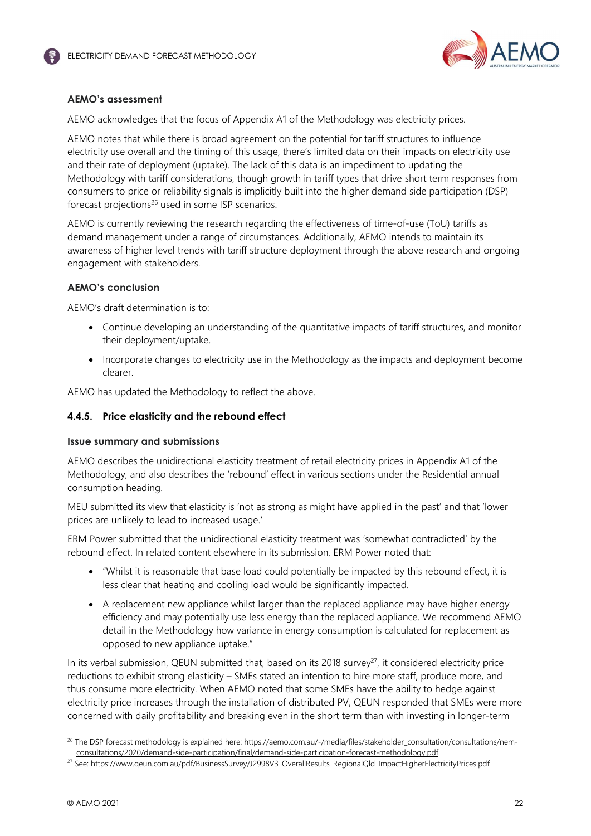

## **AEMO's assessment**

AEMO acknowledges that the focus of Appendix A1 of the Methodology was electricity prices.

AEMO notes that while there is broad agreement on the potential for tariff structures to influence electricity use overall and the timing of this usage, there's limited data on their impacts on electricity use and their rate of deployment (uptake). The lack of this data is an impediment to updating the Methodology with tariff considerations, though growth in tariff types that drive short term responses from consumers to price or reliability signals is implicitly built into the higher demand side participation (DSP) forecast projections $26$  used in some ISP scenarios.

AEMO is currently reviewing the research regarding the effectiveness of time-of-use (ToU) tariffs as demand management under a range of circumstances. Additionally, AEMO intends to maintain its awareness of higher level trends with tariff structure deployment through the above research and ongoing engagement with stakeholders.

## **AEMO's conclusion**

AEMO's draft determination is to:

- Continue developing an understanding of the quantitative impacts of tariff structures, and monitor their deployment/uptake.
- Incorporate changes to electricity use in the Methodology as the impacts and deployment become clearer.

AEMO has updated the Methodology to reflect the above.

## **4.4.5. Price elasticity and the rebound effect**

## **Issue summary and submissions**

AEMO describes the unidirectional elasticity treatment of retail electricity prices in Appendix A1 of the Methodology, and also describes the 'rebound' effect in various sections under the Residential annual consumption heading.

MEU submitted its view that elasticity is 'not as strong as might have applied in the past' and that 'lower prices are unlikely to lead to increased usage.'

ERM Power submitted that the unidirectional elasticity treatment was 'somewhat contradicted' by the rebound effect. In related content elsewhere in its submission, ERM Power noted that:

- "Whilst it is reasonable that base load could potentially be impacted by this rebound effect, it is less clear that heating and cooling load would be significantly impacted.
- A replacement new appliance whilst larger than the replaced appliance may have higher energy efficiency and may potentially use less energy than the replaced appliance. We recommend AEMO detail in the Methodology how variance in energy consumption is calculated for replacement as opposed to new appliance uptake."

In its verbal submission, QEUN submitted that, based on its 2018 survey<sup>27</sup>, it considered electricity price reductions to exhibit strong elasticity – SMEs stated an intention to hire more staff, produce more, and thus consume more electricity. When AEMO noted that some SMEs have the ability to hedge against electricity price increases through the installation of distributed PV, QEUN responded that SMEs were more concerned with daily profitability and breaking even in the short term than with investing in longer-term

<sup>&</sup>lt;sup>26</sup> The DSP forecast methodology is explained here: https://aemo.com.au/-/media/files/stakeholder\_consultation/consultations/nemconsultations/2020/demand-side-participation/final/demand-side-participation-forecast-methodology.pdf.

<sup>&</sup>lt;sup>27</sup> See: https://www.qeun.com.au/pdf/BusinessSurvey/J2998V3\_OverallResults\_RegionalQld\_ImpactHigherElectricityPrices.pdf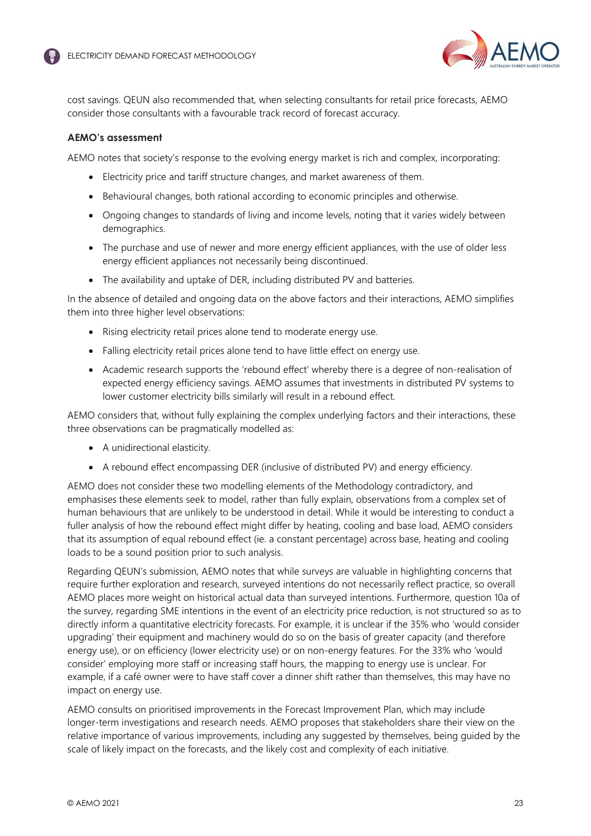

cost savings. QEUN also recommended that, when selecting consultants for retail price forecasts, AEMO consider those consultants with a favourable track record of forecast accuracy.

## **AEMO's assessment**

AEMO notes that society's response to the evolving energy market is rich and complex, incorporating:

- Electricity price and tariff structure changes, and market awareness of them.
- Behavioural changes, both rational according to economic principles and otherwise.
- Ongoing changes to standards of living and income levels, noting that it varies widely between demographics.
- The purchase and use of newer and more energy efficient appliances, with the use of older less energy efficient appliances not necessarily being discontinued.
- The availability and uptake of DER, including distributed PV and batteries.

In the absence of detailed and ongoing data on the above factors and their interactions, AEMO simplifies them into three higher level observations:

- Rising electricity retail prices alone tend to moderate energy use.
- Falling electricity retail prices alone tend to have little effect on energy use.
- Academic research supports the 'rebound effect' whereby there is a degree of non-realisation of expected energy efficiency savings. AEMO assumes that investments in distributed PV systems to lower customer electricity bills similarly will result in a rebound effect.

AEMO considers that, without fully explaining the complex underlying factors and their interactions, these three observations can be pragmatically modelled as:

- A unidirectional elasticity.
- A rebound effect encompassing DER (inclusive of distributed PV) and energy efficiency.

AEMO does not consider these two modelling elements of the Methodology contradictory, and emphasises these elements seek to model, rather than fully explain, observations from a complex set of human behaviours that are unlikely to be understood in detail. While it would be interesting to conduct a fuller analysis of how the rebound effect might differ by heating, cooling and base load, AEMO considers that its assumption of equal rebound effect (ie. a constant percentage) across base, heating and cooling loads to be a sound position prior to such analysis.

Regarding QEUN's submission, AEMO notes that while surveys are valuable in highlighting concerns that require further exploration and research, surveyed intentions do not necessarily reflect practice, so overall AEMO places more weight on historical actual data than surveyed intentions. Furthermore, question 10a of the survey, regarding SME intentions in the event of an electricity price reduction, is not structured so as to directly inform a quantitative electricity forecasts. For example, it is unclear if the 35% who 'would consider upgrading' their equipment and machinery would do so on the basis of greater capacity (and therefore energy use), or on efficiency (lower electricity use) or on non-energy features. For the 33% who 'would consider' employing more staff or increasing staff hours, the mapping to energy use is unclear. For example, if a café owner were to have staff cover a dinner shift rather than themselves, this may have no impact on energy use.

AEMO consults on prioritised improvements in the Forecast Improvement Plan, which may include longer-term investigations and research needs. AEMO proposes that stakeholders share their view on the relative importance of various improvements, including any suggested by themselves, being guided by the scale of likely impact on the forecasts, and the likely cost and complexity of each initiative.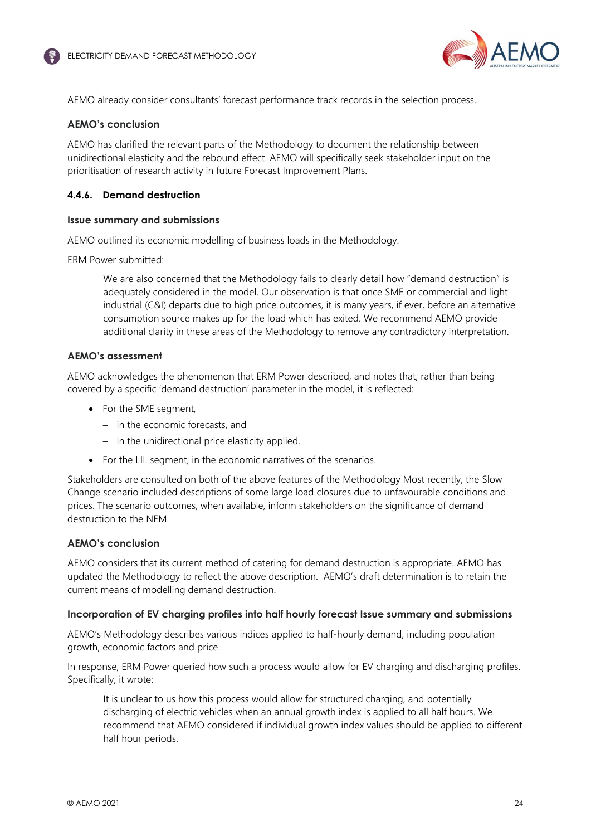

AEMO already consider consultants' forecast performance track records in the selection process.

#### **AEMO's conclusion**

AEMO has clarified the relevant parts of the Methodology to document the relationship between unidirectional elasticity and the rebound effect. AEMO will specifically seek stakeholder input on the prioritisation of research activity in future Forecast Improvement Plans.

## **4.4.6. Demand destruction**

#### **Issue summary and submissions**

AEMO outlined its economic modelling of business loads in the Methodology.

ERM Power submitted:

We are also concerned that the Methodology fails to clearly detail how "demand destruction" is adequately considered in the model. Our observation is that once SME or commercial and light industrial (C&I) departs due to high price outcomes, it is many years, if ever, before an alternative consumption source makes up for the load which has exited. We recommend AEMO provide additional clarity in these areas of the Methodology to remove any contradictory interpretation.

#### **AEMO's assessment**

AEMO acknowledges the phenomenon that ERM Power described, and notes that, rather than being covered by a specific 'demand destruction' parameter in the model, it is reflected:

- For the SME seament,
	- in the economic forecasts, and
	- $-$  in the unidirectional price elasticity applied.
- For the LIL segment, in the economic narratives of the scenarios.

Stakeholders are consulted on both of the above features of the Methodology Most recently, the Slow Change scenario included descriptions of some large load closures due to unfavourable conditions and prices. The scenario outcomes, when available, inform stakeholders on the significance of demand destruction to the NEM.

#### **AEMO's conclusion**

AEMO considers that its current method of catering for demand destruction is appropriate. AEMO has updated the Methodology to reflect the above description. AEMO's draft determination is to retain the current means of modelling demand destruction.

#### **Incorporation of EV charging profiles into half hourly forecast Issue summary and submissions**

AEMO's Methodology describes various indices applied to half-hourly demand, including population growth, economic factors and price.

In response, ERM Power queried how such a process would allow for EV charging and discharging profiles. Specifically, it wrote:

It is unclear to us how this process would allow for structured charging, and potentially discharging of electric vehicles when an annual growth index is applied to all half hours. We recommend that AEMO considered if individual growth index values should be applied to different half hour periods.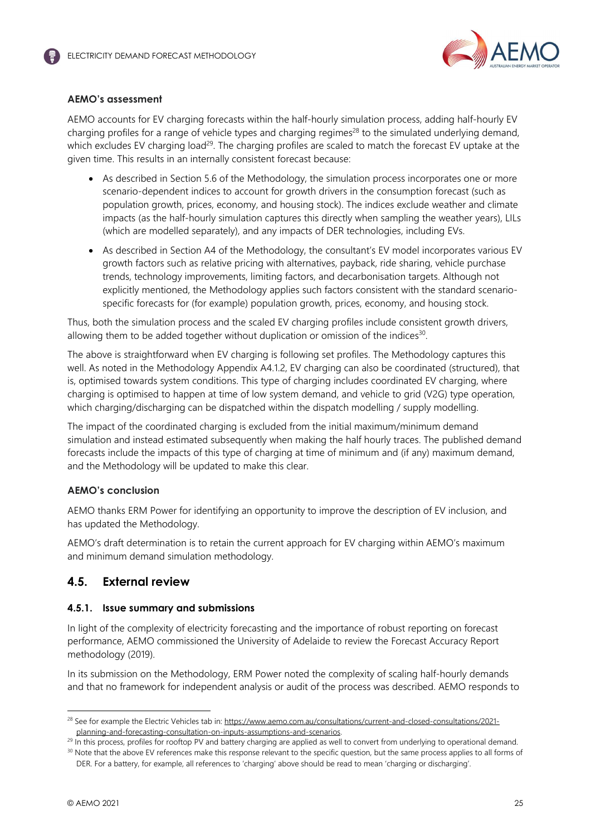

## **AEMO's assessment**

AEMO accounts for EV charging forecasts within the half-hourly simulation process, adding half-hourly EV charging profiles for a range of vehicle types and charging regimes<sup>28</sup> to the simulated underlying demand, which excludes EV charging load<sup>29</sup>. The charging profiles are scaled to match the forecast EV uptake at the given time. This results in an internally consistent forecast because:

- As described in Section 5.6 of the Methodology, the simulation process incorporates one or more scenario-dependent indices to account for growth drivers in the consumption forecast (such as population growth, prices, economy, and housing stock). The indices exclude weather and climate impacts (as the half-hourly simulation captures this directly when sampling the weather years), LILs (which are modelled separately), and any impacts of DER technologies, including EVs.
- As described in Section A4 of the Methodology, the consultant's EV model incorporates various EV growth factors such as relative pricing with alternatives, payback, ride sharing, vehicle purchase trends, technology improvements, limiting factors, and decarbonisation targets. Although not explicitly mentioned, the Methodology applies such factors consistent with the standard scenariospecific forecasts for (for example) population growth, prices, economy, and housing stock.

Thus, both the simulation process and the scaled EV charging profiles include consistent growth drivers, allowing them to be added together without duplication or omission of the indices<sup>30</sup>.

The above is straightforward when EV charging is following set profiles. The Methodology captures this well. As noted in the Methodology Appendix A4.1.2, EV charging can also be coordinated (structured), that is, optimised towards system conditions. This type of charging includes coordinated EV charging, where charging is optimised to happen at time of low system demand, and vehicle to grid (V2G) type operation, which charging/discharging can be dispatched within the dispatch modelling / supply modelling.

The impact of the coordinated charging is excluded from the initial maximum/minimum demand simulation and instead estimated subsequently when making the half hourly traces. The published demand forecasts include the impacts of this type of charging at time of minimum and (if any) maximum demand, and the Methodology will be updated to make this clear.

## **AEMO's conclusion**

AEMO thanks ERM Power for identifying an opportunity to improve the description of EV inclusion, and has updated the Methodology.

AEMO's draft determination is to retain the current approach for EV charging within AEMO's maximum and minimum demand simulation methodology.

# **4.5. External review**

## **4.5.1. Issue summary and submissions**

In light of the complexity of electricity forecasting and the importance of robust reporting on forecast performance, AEMO commissioned the University of Adelaide to review the Forecast Accuracy Report methodology (2019).

In its submission on the Methodology, ERM Power noted the complexity of scaling half-hourly demands and that no framework for independent analysis or audit of the process was described. AEMO responds to

<sup>&</sup>lt;sup>28</sup> See for example the Electric Vehicles tab in: https://www.aemo.com.au/consultations/current-and-closed-consultations/2021planning-and-forecasting-consultation-on-inputs-assumptions-and-scenarios.

<sup>&</sup>lt;sup>29</sup> In this process, profiles for rooftop PV and battery charging are applied as well to convert from underlying to operational demand. <sup>30</sup> Note that the above EV references make this response relevant to the specific question, but the same process applies to all forms of

DER. For a battery, for example, all references to 'charging' above should be read to mean 'charging or discharging'.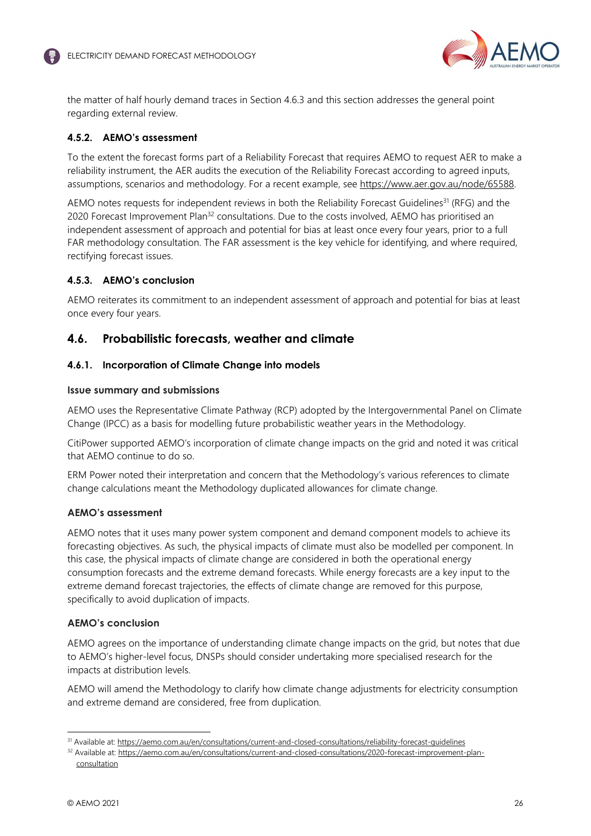

the matter of half hourly demand traces in Section 4.6.3 and this section addresses the general point regarding external review.

## **4.5.2. AEMO's assessment**

To the extent the forecast forms part of a Reliability Forecast that requires AEMO to request AER to make a reliability instrument, the AER audits the execution of the Reliability Forecast according to agreed inputs, assumptions, scenarios and methodology. For a recent example, see https://www.aer.gov.au/node/65588.

AEMO notes requests for independent reviews in both the Reliability Forecast Guidelines<sup>31</sup> (RFG) and the 2020 Forecast Improvement Plan<sup>32</sup> consultations. Due to the costs involved, AEMO has prioritised an independent assessment of approach and potential for bias at least once every four years, prior to a full FAR methodology consultation. The FAR assessment is the key vehicle for identifying, and where required, rectifying forecast issues.

## **4.5.3. AEMO's conclusion**

AEMO reiterates its commitment to an independent assessment of approach and potential for bias at least once every four years.

## **4.6. Probabilistic forecasts, weather and climate**

#### **4.6.1. Incorporation of Climate Change into models**

#### **Issue summary and submissions**

AEMO uses the Representative Climate Pathway (RCP) adopted by the Intergovernmental Panel on Climate Change (IPCC) as a basis for modelling future probabilistic weather years in the Methodology.

CitiPower supported AEMO's incorporation of climate change impacts on the grid and noted it was critical that AEMO continue to do so.

ERM Power noted their interpretation and concern that the Methodology's various references to climate change calculations meant the Methodology duplicated allowances for climate change.

#### **AEMO's assessment**

AEMO notes that it uses many power system component and demand component models to achieve its forecasting objectives. As such, the physical impacts of climate must also be modelled per component. In this case, the physical impacts of climate change are considered in both the operational energy consumption forecasts and the extreme demand forecasts. While energy forecasts are a key input to the extreme demand forecast trajectories, the effects of climate change are removed for this purpose, specifically to avoid duplication of impacts.

#### **AEMO's conclusion**

AEMO agrees on the importance of understanding climate change impacts on the grid, but notes that due to AEMO's higher-level focus, DNSPs should consider undertaking more specialised research for the impacts at distribution levels.

AEMO will amend the Methodology to clarify how climate change adjustments for electricity consumption and extreme demand are considered, free from duplication.

<sup>31</sup> Available at: https://aemo.com.au/en/consultations/current-and-closed-consultations/reliability-forecast-guidelines

<sup>32</sup> Available at: https://aemo.com.au/en/consultations/current-and-closed-consultations/2020-forecast-improvement-planconsultation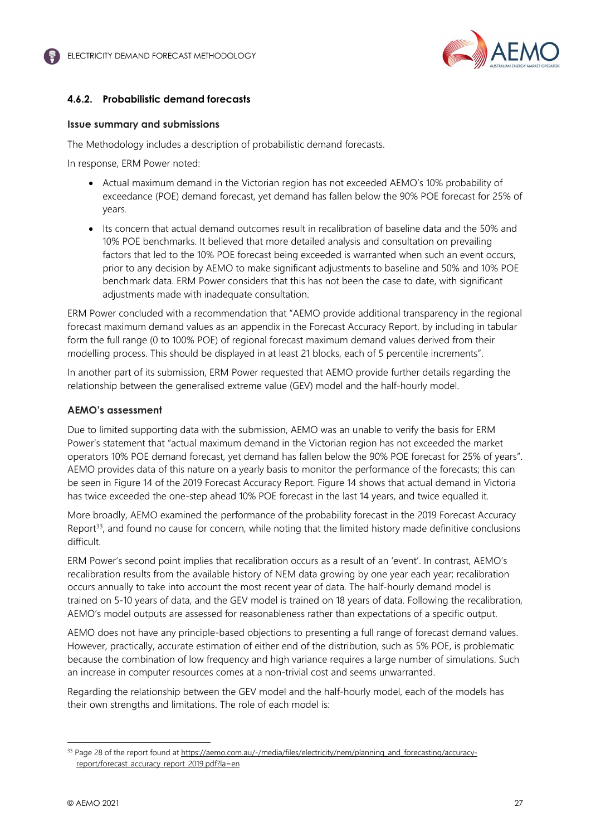

## **4.6.2. Probabilistic demand forecasts**

#### **Issue summary and submissions**

The Methodology includes a description of probabilistic demand forecasts.

In response, ERM Power noted:

- Actual maximum demand in the Victorian region has not exceeded AEMO's 10% probability of exceedance (POE) demand forecast, yet demand has fallen below the 90% POE forecast for 25% of years.
- Its concern that actual demand outcomes result in recalibration of baseline data and the 50% and 10% POE benchmarks. It believed that more detailed analysis and consultation on prevailing factors that led to the 10% POE forecast being exceeded is warranted when such an event occurs, prior to any decision by AEMO to make significant adjustments to baseline and 50% and 10% POE benchmark data. ERM Power considers that this has not been the case to date, with significant adjustments made with inadequate consultation.

ERM Power concluded with a recommendation that "AEMO provide additional transparency in the regional forecast maximum demand values as an appendix in the Forecast Accuracy Report, by including in tabular form the full range (0 to 100% POE) of regional forecast maximum demand values derived from their modelling process. This should be displayed in at least 21 blocks, each of 5 percentile increments".

In another part of its submission, ERM Power requested that AEMO provide further details regarding the relationship between the generalised extreme value (GEV) model and the half-hourly model.

#### **AEMO's assessment**

Due to limited supporting data with the submission, AEMO was an unable to verify the basis for ERM Power's statement that "actual maximum demand in the Victorian region has not exceeded the market operators 10% POE demand forecast, yet demand has fallen below the 90% POE forecast for 25% of years". AEMO provides data of this nature on a yearly basis to monitor the performance of the forecasts; this can be seen in Figure 14 of the 2019 Forecast Accuracy Report. Figure 14 shows that actual demand in Victoria has twice exceeded the one-step ahead 10% POE forecast in the last 14 years, and twice equalled it.

More broadly, AEMO examined the performance of the probability forecast in the 2019 Forecast Accuracy Report<sup>33</sup>, and found no cause for concern, while noting that the limited history made definitive conclusions difficult.

ERM Power's second point implies that recalibration occurs as a result of an 'event'. In contrast, AEMO's recalibration results from the available history of NEM data growing by one year each year; recalibration occurs annually to take into account the most recent year of data. The half-hourly demand model is trained on 5-10 years of data, and the GEV model is trained on 18 years of data. Following the recalibration, AEMO's model outputs are assessed for reasonableness rather than expectations of a specific output.

AEMO does not have any principle-based objections to presenting a full range of forecast demand values. However, practically, accurate estimation of either end of the distribution, such as 5% POE, is problematic because the combination of low frequency and high variance requires a large number of simulations. Such an increase in computer resources comes at a non-trivial cost and seems unwarranted.

Regarding the relationship between the GEV model and the half-hourly model, each of the models has their own strengths and limitations. The role of each model is:

<sup>33</sup> Page 28 of the report found at https://aemo.com.au/-/media/files/electricity/nem/planning\_and\_forecasting/accuracyreport/forecast\_accuracy\_report\_2019.pdf?la=en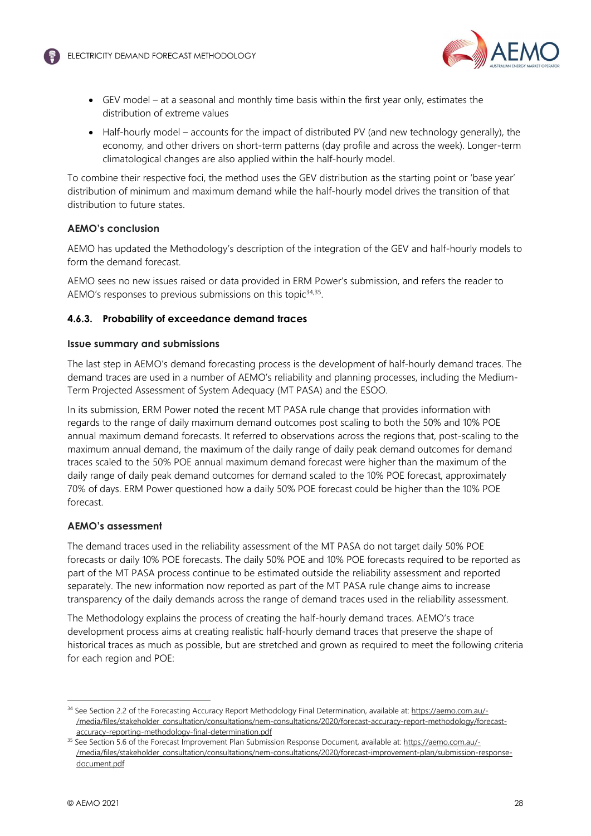

- GEV model at a seasonal and monthly time basis within the first year only, estimates the distribution of extreme values
- $\bullet$  Half-hourly model accounts for the impact of distributed PV (and new technology generally), the economy, and other drivers on short-term patterns (day profile and across the week). Longer-term climatological changes are also applied within the half-hourly model.

To combine their respective foci, the method uses the GEV distribution as the starting point or 'base year' distribution of minimum and maximum demand while the half-hourly model drives the transition of that distribution to future states.

## **AEMO's conclusion**

AEMO has updated the Methodology's description of the integration of the GEV and half-hourly models to form the demand forecast.

AEMO sees no new issues raised or data provided in ERM Power's submission, and refers the reader to AEMO's responses to previous submissions on this topic<sup>34,35</sup>.

## **4.6.3. Probability of exceedance demand traces**

## **Issue summary and submissions**

The last step in AEMO's demand forecasting process is the development of half-hourly demand traces. The demand traces are used in a number of AEMO's reliability and planning processes, including the Medium-Term Projected Assessment of System Adequacy (MT PASA) and the ESOO.

In its submission, ERM Power noted the recent MT PASA rule change that provides information with regards to the range of daily maximum demand outcomes post scaling to both the 50% and 10% POE annual maximum demand forecasts. It referred to observations across the regions that, post-scaling to the maximum annual demand, the maximum of the daily range of daily peak demand outcomes for demand traces scaled to the 50% POE annual maximum demand forecast were higher than the maximum of the daily range of daily peak demand outcomes for demand scaled to the 10% POE forecast, approximately 70% of days. ERM Power questioned how a daily 50% POE forecast could be higher than the 10% POE forecast.

## **AEMO's assessment**

The demand traces used in the reliability assessment of the MT PASA do not target daily 50% POE forecasts or daily 10% POE forecasts. The daily 50% POE and 10% POE forecasts required to be reported as part of the MT PASA process continue to be estimated outside the reliability assessment and reported separately. The new information now reported as part of the MT PASA rule change aims to increase transparency of the daily demands across the range of demand traces used in the reliability assessment.

The Methodology explains the process of creating the half-hourly demand traces. AEMO's trace development process aims at creating realistic half-hourly demand traces that preserve the shape of historical traces as much as possible, but are stretched and grown as required to meet the following criteria for each region and POE:

<sup>&</sup>lt;sup>34</sup> See Section 2.2 of the Forecasting Accuracy Report Methodology Final Determination, available at: https://aemo.com.au/-/media/files/stakeholder\_consultation/consultations/nem-consultations/2020/forecast-accuracy-report-methodology/forecastaccuracy-reporting-methodology-final-determination.pdf

<sup>&</sup>lt;sup>35</sup> See Section 5.6 of the Forecast Improvement Plan Submission Response Document, available at: https://aemo.com.au/-/media/files/stakeholder\_consultation/consultations/nem-consultations/2020/forecast-improvement-plan/submission-responsedocument.pdf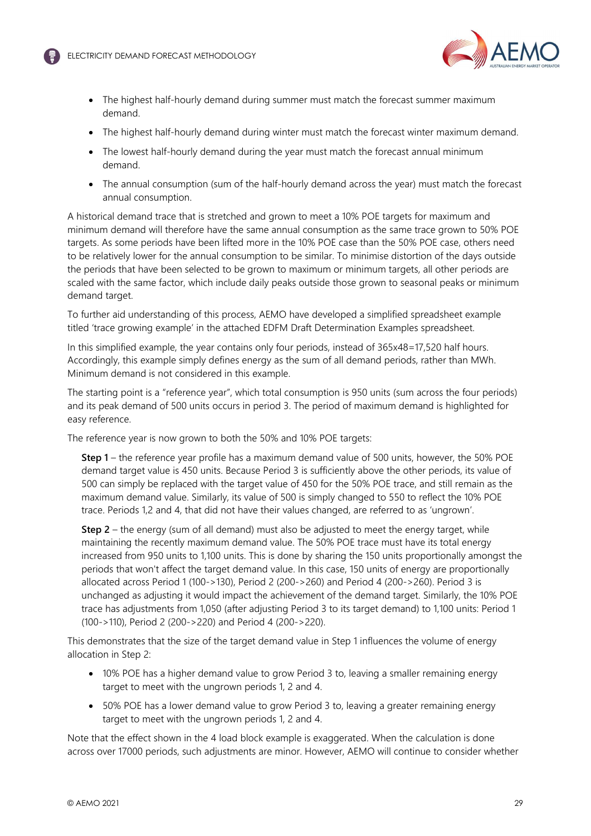

- The highest half-hourly demand during summer must match the forecast summer maximum demand.
- The highest half-hourly demand during winter must match the forecast winter maximum demand.
- The lowest half-hourly demand during the year must match the forecast annual minimum demand.
- The annual consumption (sum of the half-hourly demand across the year) must match the forecast annual consumption.

A historical demand trace that is stretched and grown to meet a 10% POE targets for maximum and minimum demand will therefore have the same annual consumption as the same trace grown to 50% POE targets. As some periods have been lifted more in the 10% POE case than the 50% POE case, others need to be relatively lower for the annual consumption to be similar. To minimise distortion of the days outside the periods that have been selected to be grown to maximum or minimum targets, all other periods are scaled with the same factor, which include daily peaks outside those grown to seasonal peaks or minimum demand target.

To further aid understanding of this process, AEMO have developed a simplified spreadsheet example titled 'trace growing example' in the attached EDFM Draft Determination Examples spreadsheet.

In this simplified example, the year contains only four periods, instead of 365x48=17,520 half hours. Accordingly, this example simply defines energy as the sum of all demand periods, rather than MWh. Minimum demand is not considered in this example.

The starting point is a "reference year", which total consumption is 950 units (sum across the four periods) and its peak demand of 500 units occurs in period 3. The period of maximum demand is highlighted for easy reference.

The reference year is now grown to both the 50% and 10% POE targets:

**Step 1** – the reference year profile has a maximum demand value of 500 units, however, the 50% POE demand target value is 450 units. Because Period 3 is sufficiently above the other periods, its value of 500 can simply be replaced with the target value of 450 for the 50% POE trace, and still remain as the maximum demand value. Similarly, its value of 500 is simply changed to 550 to reflect the 10% POE trace. Periods 1,2 and 4, that did not have their values changed, are referred to as 'ungrown'.

**Step 2** – the energy (sum of all demand) must also be adjusted to meet the energy target, while maintaining the recently maximum demand value. The 50% POE trace must have its total energy increased from 950 units to 1,100 units. This is done by sharing the 150 units proportionally amongst the periods that won't affect the target demand value. In this case, 150 units of energy are proportionally allocated across Period 1 (100->130), Period 2 (200->260) and Period 4 (200->260). Period 3 is unchanged as adjusting it would impact the achievement of the demand target. Similarly, the 10% POE trace has adjustments from 1,050 (after adjusting Period 3 to its target demand) to 1,100 units: Period 1 (100->110), Period 2 (200->220) and Period 4 (200->220).

This demonstrates that the size of the target demand value in Step 1 influences the volume of energy allocation in Step 2:

- 10% POE has a higher demand value to grow Period 3 to, leaving a smaller remaining energy target to meet with the ungrown periods 1, 2 and 4.
- 50% POE has a lower demand value to grow Period 3 to, leaving a greater remaining energy target to meet with the ungrown periods 1, 2 and 4.

Note that the effect shown in the 4 load block example is exaggerated. When the calculation is done across over 17000 periods, such adjustments are minor. However, AEMO will continue to consider whether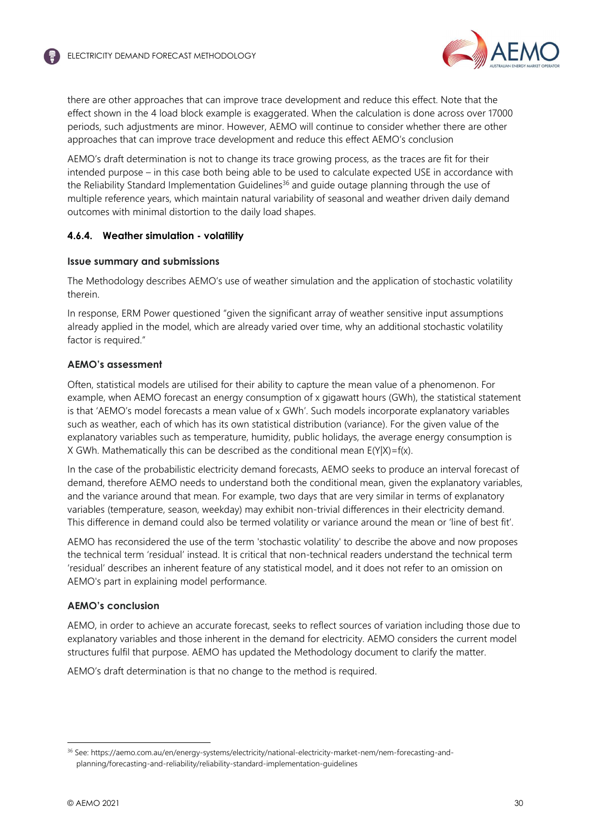

there are other approaches that can improve trace development and reduce this effect. Note that the effect shown in the 4 load block example is exaggerated. When the calculation is done across over 17000 periods, such adjustments are minor. However, AEMO will continue to consider whether there are other approaches that can improve trace development and reduce this effect AEMO's conclusion

AEMO's draft determination is not to change its trace growing process, as the traces are fit for their intended purpose – in this case both being able to be used to calculate expected USE in accordance with the Reliability Standard Implementation Guidelines<sup>36</sup> and guide outage planning through the use of multiple reference years, which maintain natural variability of seasonal and weather driven daily demand outcomes with minimal distortion to the daily load shapes.

## **4.6.4. Weather simulation - volatility**

#### **Issue summary and submissions**

The Methodology describes AEMO's use of weather simulation and the application of stochastic volatility therein.

In response, ERM Power questioned "given the significant array of weather sensitive input assumptions already applied in the model, which are already varied over time, why an additional stochastic volatility factor is required."

## **AEMO's assessment**

Often, statistical models are utilised for their ability to capture the mean value of a phenomenon. For example, when AEMO forecast an energy consumption of x gigawatt hours (GWh), the statistical statement is that 'AEMO's model forecasts a mean value of x GWh'. Such models incorporate explanatory variables such as weather, each of which has its own statistical distribution (variance). For the given value of the explanatory variables such as temperature, humidity, public holidays, the average energy consumption is X GWh. Mathematically this can be described as the conditional mean  $E(Y|X)=f(x)$ .

In the case of the probabilistic electricity demand forecasts, AEMO seeks to produce an interval forecast of demand, therefore AEMO needs to understand both the conditional mean, given the explanatory variables, and the variance around that mean. For example, two days that are very similar in terms of explanatory variables (temperature, season, weekday) may exhibit non-trivial differences in their electricity demand. This difference in demand could also be termed volatility or variance around the mean or 'line of best fit'.

AEMO has reconsidered the use of the term 'stochastic volatility' to describe the above and now proposes the technical term 'residual' instead. It is critical that non-technical readers understand the technical term 'residual' describes an inherent feature of any statistical model, and it does not refer to an omission on AEMO's part in explaining model performance.

#### **AEMO's conclusion**

AEMO, in order to achieve an accurate forecast, seeks to reflect sources of variation including those due to explanatory variables and those inherent in the demand for electricity. AEMO considers the current model structures fulfil that purpose. AEMO has updated the Methodology document to clarify the matter.

AEMO's draft determination is that no change to the method is required.

<sup>36</sup> See: https://aemo.com.au/en/energy-systems/electricity/national-electricity-market-nem/nem-forecasting-andplanning/forecasting-and-reliability/reliability-standard-implementation-guidelines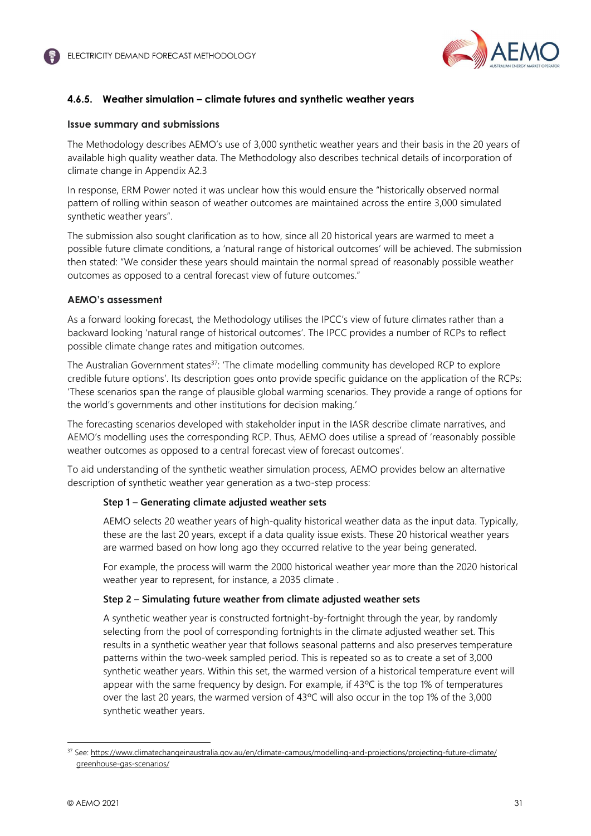

## **4.6.5. Weather simulation – climate futures and synthetic weather years**

## **Issue summary and submissions**

The Methodology describes AEMO's use of 3,000 synthetic weather years and their basis in the 20 years of available high quality weather data. The Methodology also describes technical details of incorporation of climate change in Appendix A2.3

In response, ERM Power noted it was unclear how this would ensure the "historically observed normal pattern of rolling within season of weather outcomes are maintained across the entire 3,000 simulated synthetic weather years".

The submission also sought clarification as to how, since all 20 historical years are warmed to meet a possible future climate conditions, a 'natural range of historical outcomes' will be achieved. The submission then stated: "We consider these years should maintain the normal spread of reasonably possible weather outcomes as opposed to a central forecast view of future outcomes."

## **AEMO's assessment**

As a forward looking forecast, the Methodology utilises the IPCC's view of future climates rather than a backward looking 'natural range of historical outcomes'. The IPCC provides a number of RCPs to reflect possible climate change rates and mitigation outcomes.

The Australian Government states $37$ : 'The climate modelling community has developed RCP to explore credible future options'. Its description goes onto provide specific guidance on the application of the RCPs: 'These scenarios span the range of plausible global warming scenarios. They provide a range of options for the world's governments and other institutions for decision making.'

The forecasting scenarios developed with stakeholder input in the IASR describe climate narratives, and AEMO's modelling uses the corresponding RCP. Thus, AEMO does utilise a spread of 'reasonably possible weather outcomes as opposed to a central forecast view of forecast outcomes'.

To aid understanding of the synthetic weather simulation process, AEMO provides below an alternative description of synthetic weather year generation as a two-step process:

## **Step 1 – Generating climate adjusted weather sets**

AEMO selects 20 weather years of high-quality historical weather data as the input data. Typically, these are the last 20 years, except if a data quality issue exists. These 20 historical weather years are warmed based on how long ago they occurred relative to the year being generated.

For example, the process will warm the 2000 historical weather year more than the 2020 historical weather year to represent, for instance, a 2035 climate .

## **Step 2 – Simulating future weather from climate adjusted weather sets**

A synthetic weather year is constructed fortnight-by-fortnight through the year, by randomly selecting from the pool of corresponding fortnights in the climate adjusted weather set. This results in a synthetic weather year that follows seasonal patterns and also preserves temperature patterns within the two-week sampled period. This is repeated so as to create a set of 3,000 synthetic weather years. Within this set, the warmed version of a historical temperature event will appear with the same frequency by design. For example, if 43ºC is the top 1% of temperatures over the last 20 years, the warmed version of 43ºC will also occur in the top 1% of the 3,000 synthetic weather years.

<sup>37</sup> See: https://www.climatechangeinaustralia.gov.au/en/climate-campus/modelling-and-projections/projecting-future-climate/ greenhouse-gas-scenarios/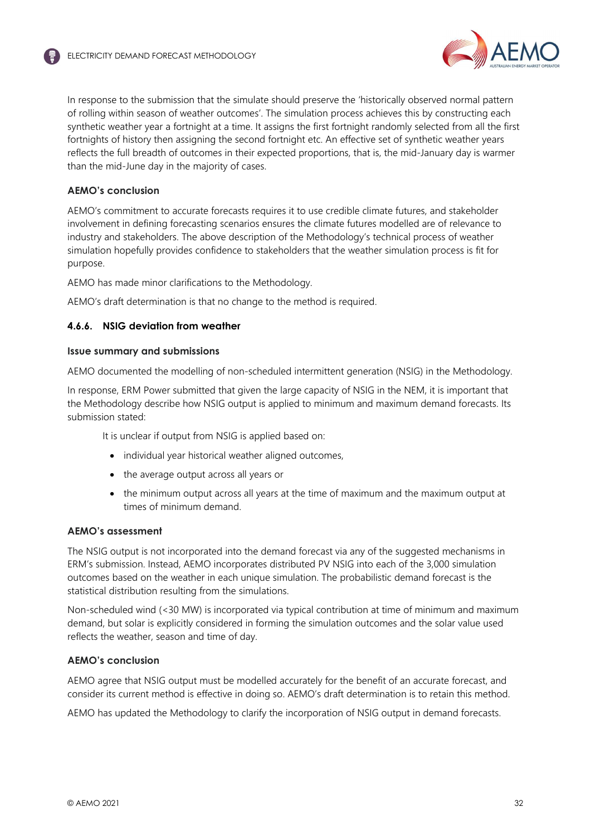

In response to the submission that the simulate should preserve the 'historically observed normal pattern of rolling within season of weather outcomes'. The simulation process achieves this by constructing each synthetic weather year a fortnight at a time. It assigns the first fortnight randomly selected from all the first fortnights of history then assigning the second fortnight etc. An effective set of synthetic weather years reflects the full breadth of outcomes in their expected proportions, that is, the mid-January day is warmer than the mid-June day in the majority of cases.

## **AEMO's conclusion**

AEMO's commitment to accurate forecasts requires it to use credible climate futures, and stakeholder involvement in defining forecasting scenarios ensures the climate futures modelled are of relevance to industry and stakeholders. The above description of the Methodology's technical process of weather simulation hopefully provides confidence to stakeholders that the weather simulation process is fit for purpose.

AEMO has made minor clarifications to the Methodology.

AEMO's draft determination is that no change to the method is required.

## **4.6.6. NSIG deviation from weather**

#### **Issue summary and submissions**

AEMO documented the modelling of non-scheduled intermittent generation (NSIG) in the Methodology.

In response, ERM Power submitted that given the large capacity of NSIG in the NEM, it is important that the Methodology describe how NSIG output is applied to minimum and maximum demand forecasts. Its submission stated:

It is unclear if output from NSIG is applied based on:

- individual year historical weather aligned outcomes,
- the average output across all years or
- the minimum output across all years at the time of maximum and the maximum output at times of minimum demand.

## **AEMO's assessment**

The NSIG output is not incorporated into the demand forecast via any of the suggested mechanisms in ERM's submission. Instead, AEMO incorporates distributed PV NSIG into each of the 3,000 simulation outcomes based on the weather in each unique simulation. The probabilistic demand forecast is the statistical distribution resulting from the simulations.

Non-scheduled wind (<30 MW) is incorporated via typical contribution at time of minimum and maximum demand, but solar is explicitly considered in forming the simulation outcomes and the solar value used reflects the weather, season and time of day.

## **AEMO's conclusion**

AEMO agree that NSIG output must be modelled accurately for the benefit of an accurate forecast, and consider its current method is effective in doing so. AEMO's draft determination is to retain this method.

AEMO has updated the Methodology to clarify the incorporation of NSIG output in demand forecasts.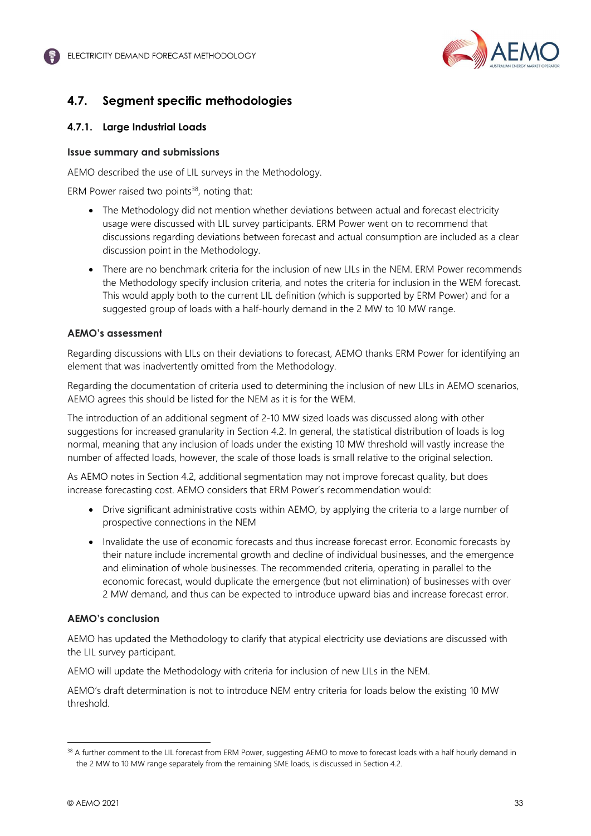

# **4.7. Segment specific methodologies**

## **4.7.1. Large Industrial Loads**

## **Issue summary and submissions**

AEMO described the use of LIL surveys in the Methodology.

ERM Power raised two points $38$ , noting that:

- The Methodology did not mention whether deviations between actual and forecast electricity usage were discussed with LIL survey participants. ERM Power went on to recommend that discussions regarding deviations between forecast and actual consumption are included as a clear discussion point in the Methodology.
- There are no benchmark criteria for the inclusion of new LILs in the NEM. FRM Power recommends the Methodology specify inclusion criteria, and notes the criteria for inclusion in the WEM forecast. This would apply both to the current LIL definition (which is supported by ERM Power) and for a suggested group of loads with a half-hourly demand in the 2 MW to 10 MW range.

## **AEMO's assessment**

Regarding discussions with LILs on their deviations to forecast, AEMO thanks ERM Power for identifying an element that was inadvertently omitted from the Methodology.

Regarding the documentation of criteria used to determining the inclusion of new LILs in AEMO scenarios, AEMO agrees this should be listed for the NEM as it is for the WEM.

The introduction of an additional segment of 2-10 MW sized loads was discussed along with other suggestions for increased granularity in Section 4.2. In general, the statistical distribution of loads is log normal, meaning that any inclusion of loads under the existing 10 MW threshold will vastly increase the number of affected loads, however, the scale of those loads is small relative to the original selection.

As AEMO notes in Section 4.2, additional segmentation may not improve forecast quality, but does increase forecasting cost. AEMO considers that ERM Power's recommendation would:

- Drive significant administrative costs within AEMO, by applying the criteria to a large number of prospective connections in the NEM
- Invalidate the use of economic forecasts and thus increase forecast error. Economic forecasts by their nature include incremental growth and decline of individual businesses, and the emergence and elimination of whole businesses. The recommended criteria, operating in parallel to the economic forecast, would duplicate the emergence (but not elimination) of businesses with over 2 MW demand, and thus can be expected to introduce upward bias and increase forecast error.

## **AEMO's conclusion**

AEMO has updated the Methodology to clarify that atypical electricity use deviations are discussed with the LIL survey participant.

AEMO will update the Methodology with criteria for inclusion of new LILs in the NEM.

AEMO's draft determination is not to introduce NEM entry criteria for loads below the existing 10 MW threshold.

<sup>&</sup>lt;sup>38</sup> A further comment to the LIL forecast from ERM Power, suggesting AEMO to move to forecast loads with a half hourly demand in the 2 MW to 10 MW range separately from the remaining SME loads, is discussed in Section 4.2.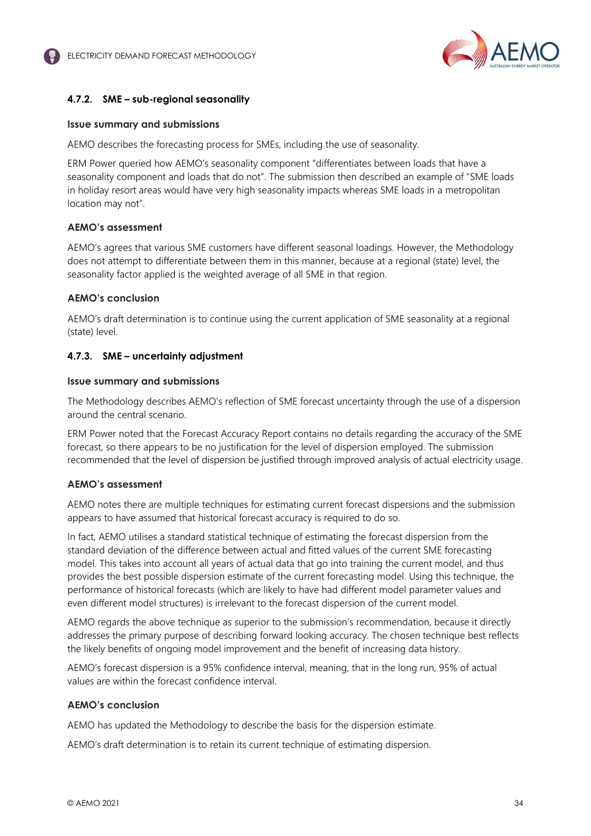

## **4.7.2. SME – sub-regional seasonality**

#### **Issue summary and submissions**

AEMO describes the forecasting process for SMEs, including the use of seasonality.

ERM Power queried how AEMO's seasonality component "differentiates between loads that have a seasonality component and loads that do not". The submission then described an example of "SME loads in holiday resort areas would have very high seasonality impacts whereas SME loads in a metropolitan location may not".

#### **AEMO's assessment**

AEMO's agrees that various SME customers have different seasonal loadings. However, the Methodology does not attempt to differentiate between them in this manner, because at a regional (state) level, the seasonality factor applied is the weighted average of all SME in that region.

#### **AEMO's conclusion**

AEMO's draft determination is to continue using the current application of SME seasonality at a regional (state) level.

#### **4.7.3. SME – uncertainty adjustment**

#### **Issue summary and submissions**

The Methodology describes AEMO's reflection of SME forecast uncertainty through the use of a dispersion around the central scenario.

ERM Power noted that the Forecast Accuracy Report contains no details regarding the accuracy of the SME forecast, so there appears to be no justification for the level of dispersion employed. The submission recommended that the level of dispersion be justified through improved analysis of actual electricity usage.

#### **AEMO's assessment**

AEMO notes there are multiple techniques for estimating current forecast dispersions and the submission appears to have assumed that historical forecast accuracy is required to do so.

In fact, AEMO utilises a standard statistical technique of estimating the forecast dispersion from the standard deviation of the difference between actual and fitted values of the current SME forecasting model. This takes into account all years of actual data that go into training the current model, and thus provides the best possible dispersion estimate of the current forecasting model. Using this technique, the performance of historical forecasts (which are likely to have had different model parameter values and even different model structures) is irrelevant to the forecast dispersion of the current model.

AEMO regards the above technique as superior to the submission's recommendation, because it directly addresses the primary purpose of describing forward looking accuracy. The chosen technique best reflects the likely benefits of ongoing model improvement and the benefit of increasing data history.

AEMO's forecast dispersion is a 95% confidence interval, meaning, that in the long run, 95% of actual values are within the forecast confidence interval.

#### **AEMO's conclusion**

AEMO has updated the Methodology to describe the basis for the dispersion estimate.

AEMO's draft determination is to retain its current technique of estimating dispersion.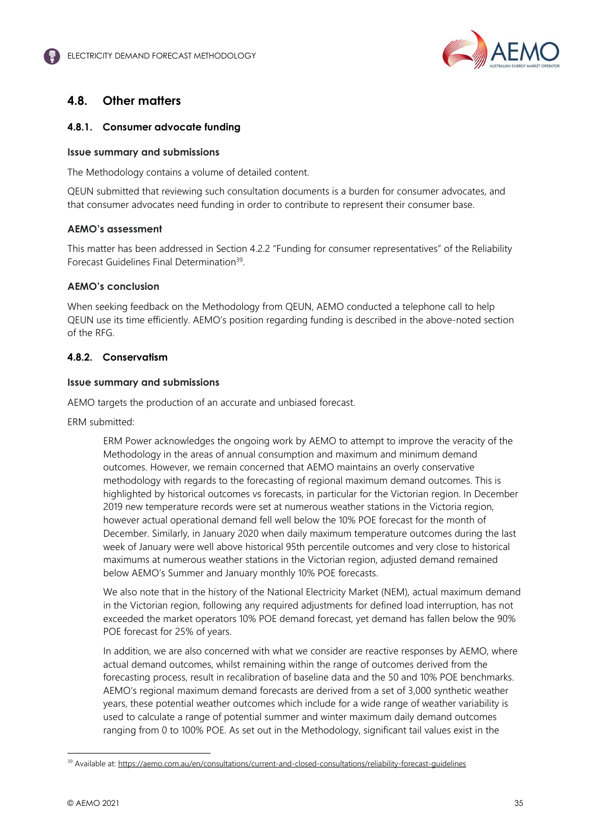

# **4.8. Other matters**

## **4.8.1. Consumer advocate funding**

#### **Issue summary and submissions**

The Methodology contains a volume of detailed content.

QEUN submitted that reviewing such consultation documents is a burden for consumer advocates, and that consumer advocates need funding in order to contribute to represent their consumer base.

## **AEMO's assessment**

This matter has been addressed in Section 4.2.2 "Funding for consumer representatives" of the Reliability Forecast Guidelines Final Determination<sup>39</sup>.

## **AEMO's conclusion**

When seeking feedback on the Methodology from QEUN, AEMO conducted a telephone call to help QEUN use its time efficiently. AEMO's position regarding funding is described in the above-noted section of the RFG.

## **4.8.2. Conservatism**

#### **Issue summary and submissions**

AEMO targets the production of an accurate and unbiased forecast.

ERM submitted:

ERM Power acknowledges the ongoing work by AEMO to attempt to improve the veracity of the Methodology in the areas of annual consumption and maximum and minimum demand outcomes. However, we remain concerned that AEMO maintains an overly conservative methodology with regards to the forecasting of regional maximum demand outcomes. This is highlighted by historical outcomes vs forecasts, in particular for the Victorian region. In December 2019 new temperature records were set at numerous weather stations in the Victoria region, however actual operational demand fell well below the 10% POE forecast for the month of December. Similarly, in January 2020 when daily maximum temperature outcomes during the last week of January were well above historical 95th percentile outcomes and very close to historical maximums at numerous weather stations in the Victorian region, adjusted demand remained below AEMO's Summer and January monthly 10% POE forecasts.

We also note that in the history of the National Electricity Market (NEM), actual maximum demand in the Victorian region, following any required adjustments for defined load interruption, has not exceeded the market operators 10% POE demand forecast, yet demand has fallen below the 90% POE forecast for 25% of years.

In addition, we are also concerned with what we consider are reactive responses by AEMO, where actual demand outcomes, whilst remaining within the range of outcomes derived from the forecasting process, result in recalibration of baseline data and the 50 and 10% POE benchmarks. AEMO's regional maximum demand forecasts are derived from a set of 3,000 synthetic weather years, these potential weather outcomes which include for a wide range of weather variability is used to calculate a range of potential summer and winter maximum daily demand outcomes ranging from 0 to 100% POE. As set out in the Methodology, significant tail values exist in the

<sup>39</sup> Available at: https://aemo.com.au/en/consultations/current-and-closed-consultations/reliability-forecast-guidelines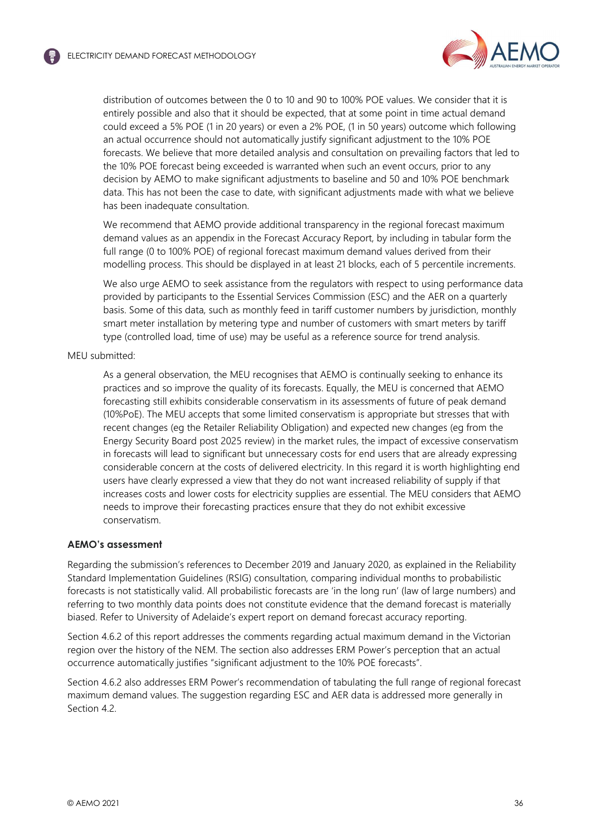

distribution of outcomes between the 0 to 10 and 90 to 100% POE values. We consider that it is entirely possible and also that it should be expected, that at some point in time actual demand could exceed a 5% POE (1 in 20 years) or even a 2% POE, (1 in 50 years) outcome which following an actual occurrence should not automatically justify significant adjustment to the 10% POE forecasts. We believe that more detailed analysis and consultation on prevailing factors that led to the 10% POE forecast being exceeded is warranted when such an event occurs, prior to any decision by AEMO to make significant adjustments to baseline and 50 and 10% POE benchmark data. This has not been the case to date, with significant adjustments made with what we believe has been inadequate consultation.

We recommend that AEMO provide additional transparency in the regional forecast maximum demand values as an appendix in the Forecast Accuracy Report, by including in tabular form the full range (0 to 100% POE) of regional forecast maximum demand values derived from their modelling process. This should be displayed in at least 21 blocks, each of 5 percentile increments.

We also urge AEMO to seek assistance from the regulators with respect to using performance data provided by participants to the Essential Services Commission (ESC) and the AER on a quarterly basis. Some of this data, such as monthly feed in tariff customer numbers by jurisdiction, monthly smart meter installation by metering type and number of customers with smart meters by tariff type (controlled load, time of use) may be useful as a reference source for trend analysis.

MEU submitted:

As a general observation, the MEU recognises that AEMO is continually seeking to enhance its practices and so improve the quality of its forecasts. Equally, the MEU is concerned that AEMO forecasting still exhibits considerable conservatism in its assessments of future of peak demand (10%PoE). The MEU accepts that some limited conservatism is appropriate but stresses that with recent changes (eg the Retailer Reliability Obligation) and expected new changes (eg from the Energy Security Board post 2025 review) in the market rules, the impact of excessive conservatism in forecasts will lead to significant but unnecessary costs for end users that are already expressing considerable concern at the costs of delivered electricity. In this regard it is worth highlighting end users have clearly expressed a view that they do not want increased reliability of supply if that increases costs and lower costs for electricity supplies are essential. The MEU considers that AEMO needs to improve their forecasting practices ensure that they do not exhibit excessive conservatism.

#### **AEMO's assessment**

Regarding the submission's references to December 2019 and January 2020, as explained in the Reliability Standard Implementation Guidelines (RSIG) consultation, comparing individual months to probabilistic forecasts is not statistically valid. All probabilistic forecasts are 'in the long run' (law of large numbers) and referring to two monthly data points does not constitute evidence that the demand forecast is materially biased. Refer to University of Adelaide's expert report on demand forecast accuracy reporting.

Section 4.6.2 of this report addresses the comments regarding actual maximum demand in the Victorian region over the history of the NEM. The section also addresses ERM Power's perception that an actual occurrence automatically justifies "significant adjustment to the 10% POE forecasts".

Section 4.6.2 also addresses ERM Power's recommendation of tabulating the full range of regional forecast maximum demand values. The suggestion regarding ESC and AER data is addressed more generally in Section 4.2.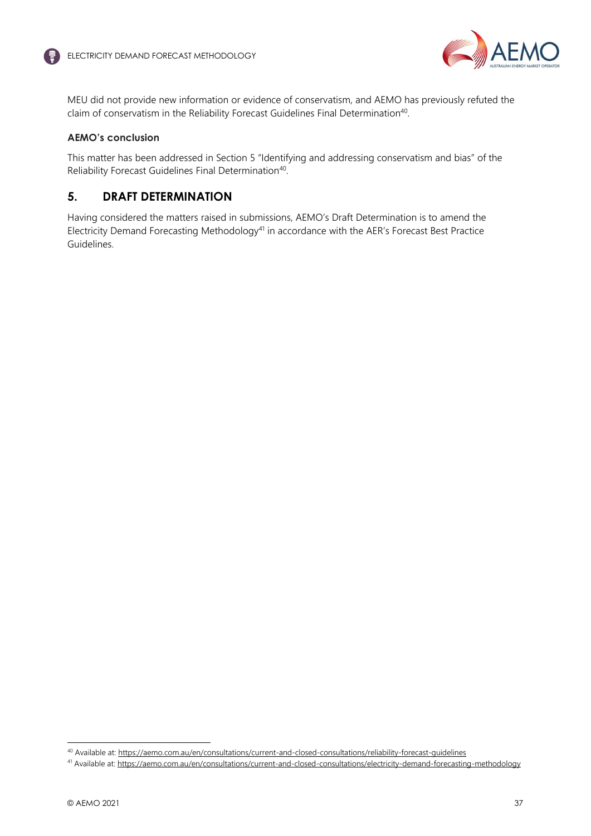

MEU did not provide new information or evidence of conservatism, and AEMO has previously refuted the claim of conservatism in the Reliability Forecast Guidelines Final Determination<sup>40</sup>.

## **AEMO's conclusion**

This matter has been addressed in Section 5 "Identifying and addressing conservatism and bias" of the Reliability Forecast Guidelines Final Determination<sup>40</sup>.

# **5. DRAFT DETERMINATION**

Having considered the matters raised in submissions, AEMO's Draft Determination is to amend the Electricity Demand Forecasting Methodology<sup>41</sup> in accordance with the AER's Forecast Best Practice Guidelines.

<sup>&</sup>lt;sup>40</sup> Available at: https://aemo.com.au/en/consultations/current-and-closed-consultations/reliability-forecast-guidelines

<sup>&</sup>lt;sup>41</sup> Available at: https://aemo.com.au/en/consultations/current-and-closed-consultations/electricity-demand-forecasting-methodology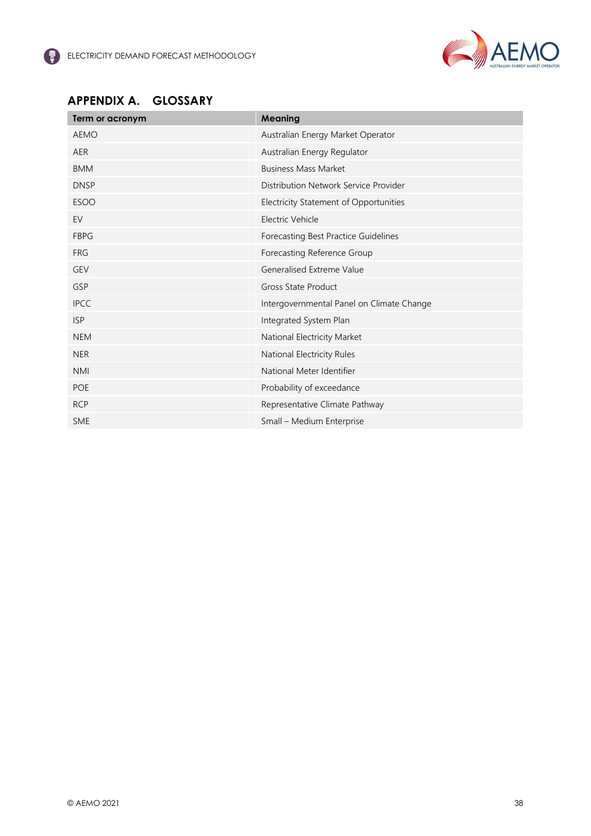

# **APPENDIX A. GLOSSARY**

| Term or acronym | <b>Meaning</b>                            |
|-----------------|-------------------------------------------|
| <b>AEMO</b>     | Australian Energy Market Operator         |
| <b>AER</b>      | Australian Energy Regulator               |
| <b>BMM</b>      | <b>Business Mass Market</b>               |
| <b>DNSP</b>     | Distribution Network Service Provider     |
| <b>ESOO</b>     | Electricity Statement of Opportunities    |
| EV              | Electric Vehicle                          |
| <b>FBPG</b>     | Forecasting Best Practice Guidelines      |
| <b>FRG</b>      | Forecasting Reference Group               |
| <b>GEV</b>      | Generalised Extreme Value                 |
| GSP             | <b>Gross State Product</b>                |
| <b>IPCC</b>     | Intergovernmental Panel on Climate Change |
| <b>ISP</b>      | Integrated System Plan                    |
| <b>NEM</b>      | National Electricity Market               |
| <b>NER</b>      | National Electricity Rules                |
| <b>NMI</b>      | National Meter Identifier                 |
| <b>POE</b>      | Probability of exceedance                 |
| <b>RCP</b>      | Representative Climate Pathway            |
| <b>SME</b>      | Small - Medium Enterprise                 |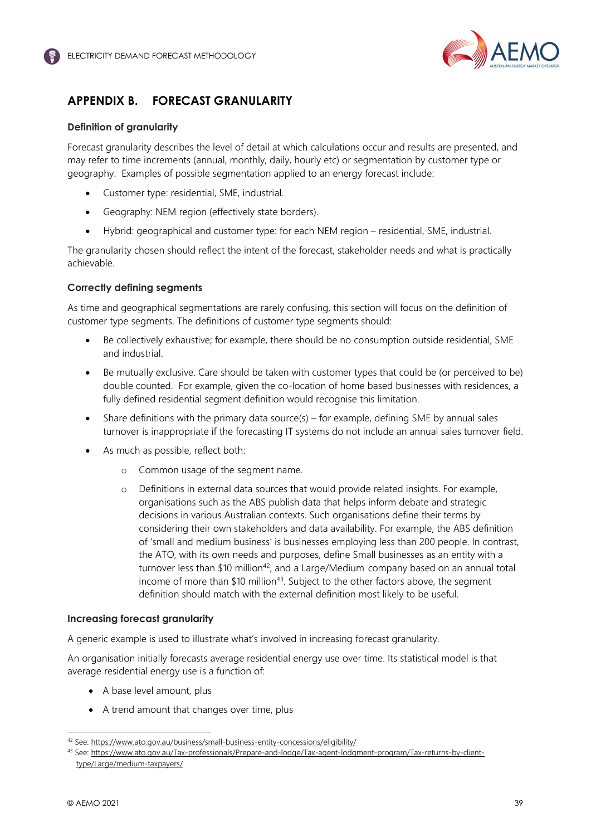

# **APPENDIX B. FORECAST GRANULARITY**

## **Definition of granularity**

Forecast granularity describes the level of detail at which calculations occur and results are presented, and may refer to time increments (annual, monthly, daily, hourly etc) or segmentation by customer type or geography. Examples of possible segmentation applied to an energy forecast include:

- Customer type: residential, SME, industrial.
- Geography: NEM region (effectively state borders).
- Hybrid: geographical and customer type: for each NEM region residential, SME, industrial.

The granularity chosen should reflect the intent of the forecast, stakeholder needs and what is practically achievable.

## **Correctly defining segments**

As time and geographical segmentations are rarely confusing, this section will focus on the definition of customer type segments. The definitions of customer type segments should:

- Be collectively exhaustive; for example, there should be no consumption outside residential, SME and industrial.
- Be mutually exclusive. Care should be taken with customer types that could be (or perceived to be) double counted. For example, given the co-location of home based businesses with residences, a fully defined residential segment definition would recognise this limitation.
- Share definitions with the primary data source(s) for example, defining SME by annual sales turnover is inappropriate if the forecasting IT systems do not include an annual sales turnover field.
- As much as possible, reflect both:
	- o Common usage of the segment name.
	- o Definitions in external data sources that would provide related insights. For example, organisations such as the ABS publish data that helps inform debate and strategic decisions in various Australian contexts. Such organisations define their terms by considering their own stakeholders and data availability. For example, the ABS definition of 'small and medium business' is businesses employing less than 200 people. In contrast, the ATO, with its own needs and purposes, define Small businesses as an entity with a turnover less than  $$10$  million<sup>42</sup>, and a Large/Medium company based on an annual total income of more than \$10 million<sup>43</sup>. Subject to the other factors above, the segment definition should match with the external definition most likely to be useful.

#### **Increasing forecast granularity**

A generic example is used to illustrate what's involved in increasing forecast granularity.

An organisation initially forecasts average residential energy use over time. Its statistical model is that average residential energy use is a function of:

- A base level amount, plus
- A trend amount that changes over time, plus

<sup>42</sup> See: https://www.ato.gov.au/business/small-business-entity-concessions/eligibility/

<sup>43</sup> See: https://www.ato.gov.au/Tax-professionals/Prepare-and-lodge/Tax-agent-lodgment-program/Tax-returns-by-clienttype/Large/medium-taxpayers/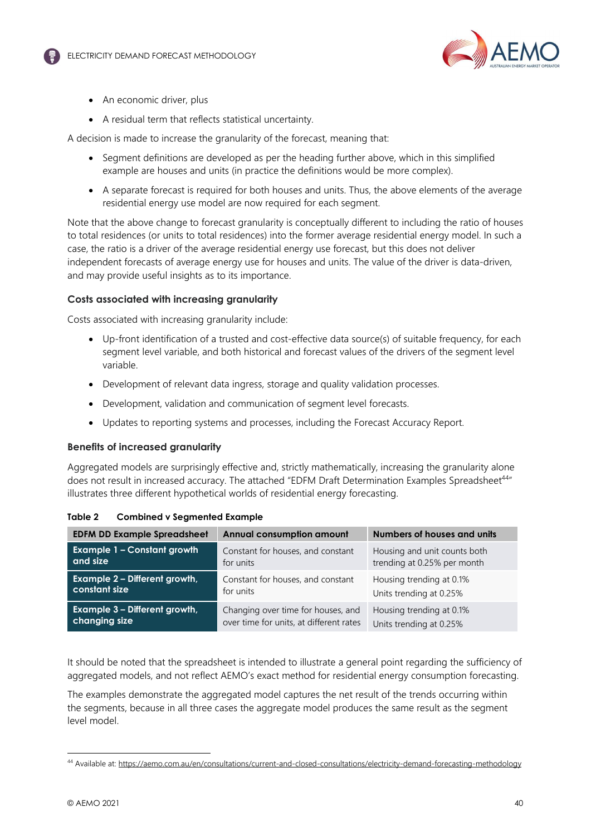

- An economic driver, plus
- A residual term that reflects statistical uncertainty.

A decision is made to increase the granularity of the forecast, meaning that:

- Segment definitions are developed as per the heading further above, which in this simplified example are houses and units (in practice the definitions would be more complex).
- A separate forecast is required for both houses and units. Thus, the above elements of the average residential energy use model are now required for each segment.

Note that the above change to forecast granularity is conceptually different to including the ratio of houses to total residences (or units to total residences) into the former average residential energy model. In such a case, the ratio is a driver of the average residential energy use forecast, but this does not deliver independent forecasts of average energy use for houses and units. The value of the driver is data-driven, and may provide useful insights as to its importance.

#### **Costs associated with increasing granularity**

Costs associated with increasing granularity include:

- Up-front identification of a trusted and cost-effective data source(s) of suitable frequency, for each segment level variable, and both historical and forecast values of the drivers of the segment level variable.
- Development of relevant data ingress, storage and quality validation processes.
- Development, validation and communication of segment level forecasts.
- Updates to reporting systems and processes, including the Forecast Accuracy Report.

#### **Benefits of increased granularity**

Aggregated models are surprisingly effective and, strictly mathematically, increasing the granularity alone does not result in increased accuracy. The attached "EDFM Draft Determination Examples Spreadsheet<sup>44"</sup> illustrates three different hypothetical worlds of residential energy forecasting.

| <b>EDFM DD Example Spreadsheet</b> | <b>Annual consumption amount</b>        | Numbers of houses and units  |
|------------------------------------|-----------------------------------------|------------------------------|
| <b>Example 1 - Constant growth</b> | Constant for houses, and constant       | Housing and unit counts both |
| and size                           | for units                               | trending at 0.25% per month  |
| Example 2 - Different growth,      | Constant for houses, and constant       | Housing trending at 0.1%     |
| constant size                      | for units                               | Units trending at 0.25%      |
| Example 3 - Different growth,      | Changing over time for houses, and      | Housing trending at 0.1%     |
| changing size                      | over time for units, at different rates | Units trending at 0.25%      |

| Table 2<br><b>Combined v Segmented Example</b> |
|------------------------------------------------|
|------------------------------------------------|

It should be noted that the spreadsheet is intended to illustrate a general point regarding the sufficiency of aggregated models, and not reflect AEMO's exact method for residential energy consumption forecasting.

The examples demonstrate the aggregated model captures the net result of the trends occurring within the segments, because in all three cases the aggregate model produces the same result as the segment level model.

<sup>44</sup> Available at: https://aemo.com.au/en/consultations/current-and-closed-consultations/electricity-demand-forecasting-methodology